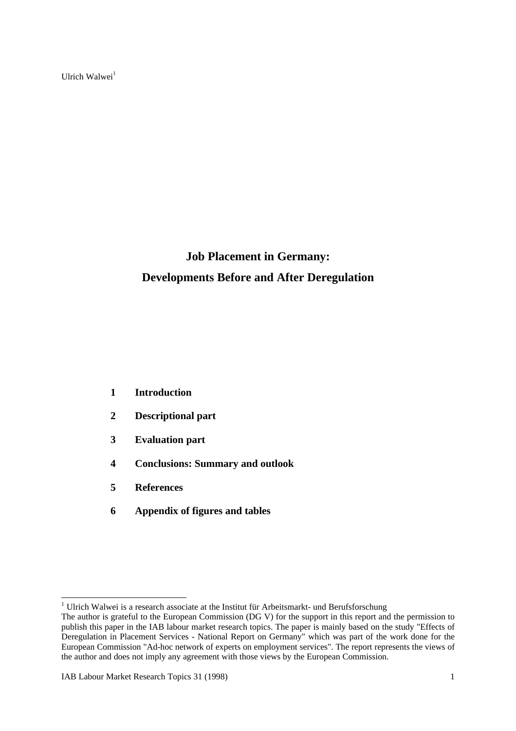Ulrich Walwei $<sup>1</sup>$ </sup>

# **Job Placement in Germany: Developments Before and After Deregulation**

- **1 Introduction**
- **2 Descriptional part**
- **3 Evaluation part**
- **4 Conclusions: Summary and outlook**
- **5 References**
- **6 Appendix of figures and tables**

<sup>&</sup>lt;sup>1</sup> Ulrich Walwei is a research associate at the Institut für Arbeitsmarkt- und Berufsforschung

The author is grateful to the European Commission (DG V) for the support in this report and the permission to publish this paper in the IAB labour market research topics. The paper is mainly based on the study "Effects of Deregulation in Placement Services - National Report on Germany" which was part of the work done for the European Commission "Ad-hoc network of experts on employment services". The report represents the views of the author and does not imply any agreement with those views by the European Commission.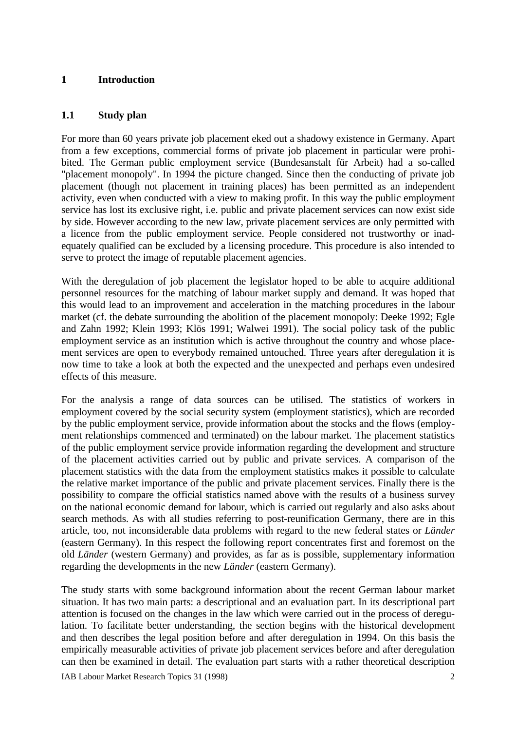### **1 Introduction**

### **1.1 Study plan**

For more than 60 years private job placement eked out a shadowy existence in Germany. Apart from a few exceptions, commercial forms of private job placement in particular were prohibited. The German public employment service (Bundesanstalt für Arbeit) had a so-called "placement monopoly". In 1994 the picture changed. Since then the conducting of private job placement (though not placement in training places) has been permitted as an independent activity, even when conducted with a view to making profit. In this way the public employment service has lost its exclusive right, i.e. public and private placement services can now exist side by side. However according to the new law, private placement services are only permitted with a licence from the public employment service. People considered not trustworthy or inadequately qualified can be excluded by a licensing procedure. This procedure is also intended to serve to protect the image of reputable placement agencies.

With the deregulation of job placement the legislator hoped to be able to acquire additional personnel resources for the matching of labour market supply and demand. It was hoped that this would lead to an improvement and acceleration in the matching procedures in the labour market (cf. the debate surrounding the abolition of the placement monopoly: Deeke 1992; Egle and Zahn 1992; Klein 1993; Klös 1991; Walwei 1991). The social policy task of the public employment service as an institution which is active throughout the country and whose placement services are open to everybody remained untouched. Three years after deregulation it is now time to take a look at both the expected and the unexpected and perhaps even undesired effects of this measure.

For the analysis a range of data sources can be utilised. The statistics of workers in employment covered by the social security system (employment statistics), which are recorded by the public employment service, provide information about the stocks and the flows (employment relationships commenced and terminated) on the labour market. The placement statistics of the public employment service provide information regarding the development and structure of the placement activities carried out by public and private services. A comparison of the placement statistics with the data from the employment statistics makes it possible to calculate the relative market importance of the public and private placement services. Finally there is the possibility to compare the official statistics named above with the results of a business survey on the national economic demand for labour, which is carried out regularly and also asks about search methods. As with all studies referring to post-reunification Germany, there are in this article, too, not inconsiderable data problems with regard to the new federal states or *Länder* (eastern Germany). In this respect the following report concentrates first and foremost on the old *Länder* (western Germany) and provides, as far as is possible, supplementary information regarding the developments in the new *Länder* (eastern Germany).

The study starts with some background information about the recent German labour market situation. It has two main parts: a descriptional and an evaluation part. In its descriptional part attention is focused on the changes in the law which were carried out in the process of deregulation. To facilitate better understanding, the section begins with the historical development and then describes the legal position before and after deregulation in 1994. On this basis the empirically measurable activities of private job placement services before and after deregulation can then be examined in detail. The evaluation part starts with a rather theoretical description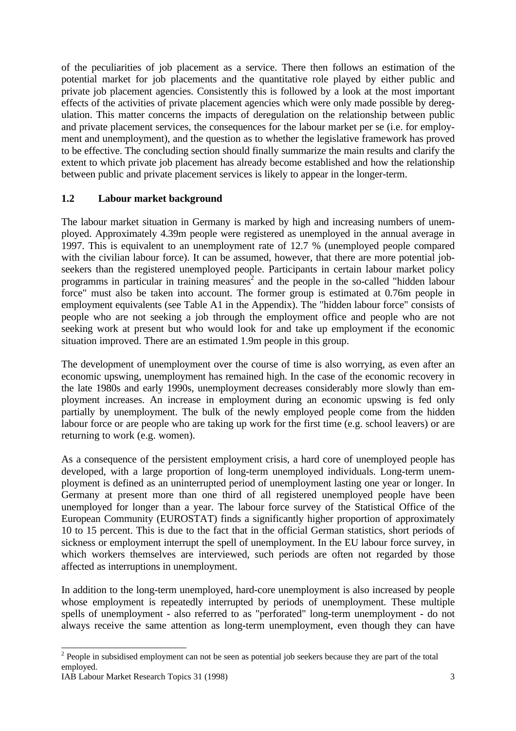of the peculiarities of job placement as a service. There then follows an estimation of the potential market for job placements and the quantitative role played by either public and private job placement agencies. Consistently this is followed by a look at the most important effects of the activities of private placement agencies which were only made possible by deregulation. This matter concerns the impacts of deregulation on the relationship between public and private placement services, the consequences for the labour market per se (i.e. for employment and unemployment), and the question as to whether the legislative framework has proved to be effective. The concluding section should finally summarize the main results and clarify the extent to which private job placement has already become established and how the relationship between public and private placement services is likely to appear in the longer-term.

### **1.2 Labour market background**

The labour market situation in Germany is marked by high and increasing numbers of unemployed. Approximately 4.39m people were registered as unemployed in the annual average in 1997. This is equivalent to an unemployment rate of 12.7 % (unemployed people compared with the civilian labour force). It can be assumed, however, that there are more potential jobseekers than the registered unemployed people. Participants in certain labour market policy programms in particular in training measures<sup>2</sup> and the people in the so-called "hidden labour force" must also be taken into account. The former group is estimated at 0.76m people in employment equivalents (see Table A1 in the Appendix). The "hidden labour force" consists of people who are not seeking a job through the employment office and people who are not seeking work at present but who would look for and take up employment if the economic situation improved. There are an estimated 1.9m people in this group.

The development of unemployment over the course of time is also worrying, as even after an economic upswing, unemployment has remained high. In the case of the economic recovery in the late 1980s and early 1990s, unemployment decreases considerably more slowly than employment increases. An increase in employment during an economic upswing is fed only partially by unemployment. The bulk of the newly employed people come from the hidden labour force or are people who are taking up work for the first time (e.g. school leavers) or are returning to work (e.g. women).

As a consequence of the persistent employment crisis, a hard core of unemployed people has developed, with a large proportion of long-term unemployed individuals. Long-term unemployment is defined as an uninterrupted period of unemployment lasting one year or longer. In Germany at present more than one third of all registered unemployed people have been unemployed for longer than a year. The labour force survey of the Statistical Office of the European Community (EUROSTAT) finds a significantly higher proportion of approximately 10 to 15 percent. This is due to the fact that in the official German statistics, short periods of sickness or employment interrupt the spell of unemployment. In the EU labour force survey, in which workers themselves are interviewed, such periods are often not regarded by those affected as interruptions in unemployment.

In addition to the long-term unemployed, hard-core unemployment is also increased by people whose employment is repeatedly interrupted by periods of unemployment. These multiple spells of unemployment - also referred to as "perforated" long-term unemployment - do not always receive the same attention as long-term unemployment, even though they can have

<sup>&</sup>lt;sup>2</sup> People in subsidised employment can not be seen as potential job seekers because they are part of the total employed.

IAB Labour Market Research Topics 31 (1998) 3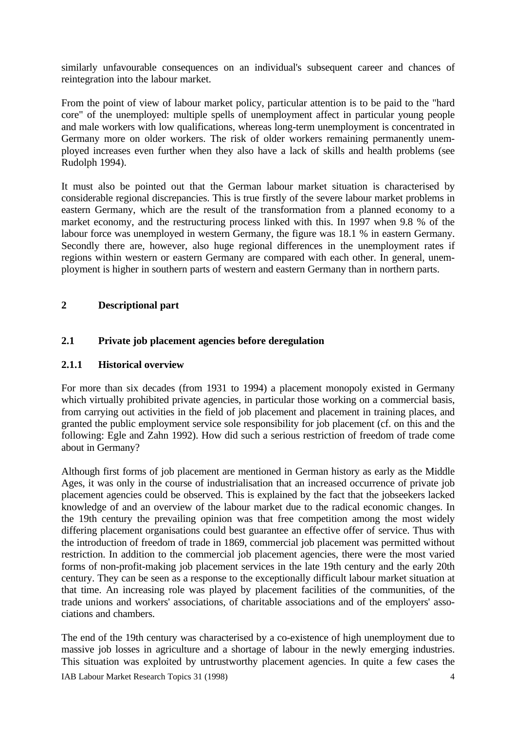similarly unfavourable consequences on an individual's subsequent career and chances of reintegration into the labour market.

From the point of view of labour market policy, particular attention is to be paid to the "hard core" of the unemployed: multiple spells of unemployment affect in particular young people and male workers with low qualifications, whereas long-term unemployment is concentrated in Germany more on older workers. The risk of older workers remaining permanently unemployed increases even further when they also have a lack of skills and health problems (see Rudolph 1994).

It must also be pointed out that the German labour market situation is characterised by considerable regional discrepancies. This is true firstly of the severe labour market problems in eastern Germany, which are the result of the transformation from a planned economy to a market economy, and the restructuring process linked with this. In 1997 when 9.8 % of the labour force was unemployed in western Germany, the figure was 18.1 % in eastern Germany. Secondly there are, however, also huge regional differences in the unemployment rates if regions within western or eastern Germany are compared with each other. In general, unemployment is higher in southern parts of western and eastern Germany than in northern parts.

### **2 Descriptional part**

### **2.1 Private job placement agencies before deregulation**

### **2.1.1 Historical overview**

For more than six decades (from 1931 to 1994) a placement monopoly existed in Germany which virtually prohibited private agencies, in particular those working on a commercial basis, from carrying out activities in the field of job placement and placement in training places, and granted the public employment service sole responsibility for job placement (cf. on this and the following: Egle and Zahn 1992). How did such a serious restriction of freedom of trade come about in Germany?

Although first forms of job placement are mentioned in German history as early as the Middle Ages, it was only in the course of industrialisation that an increased occurrence of private job placement agencies could be observed. This is explained by the fact that the jobseekers lacked knowledge of and an overview of the labour market due to the radical economic changes. In the 19th century the prevailing opinion was that free competition among the most widely differing placement organisations could best guarantee an effective offer of service. Thus with the introduction of freedom of trade in 1869, commercial job placement was permitted without restriction. In addition to the commercial job placement agencies, there were the most varied forms of non-profit-making job placement services in the late 19th century and the early 20th century. They can be seen as a response to the exceptionally difficult labour market situation at that time. An increasing role was played by placement facilities of the communities, of the trade unions and workers' associations, of charitable associations and of the employers' associations and chambers.

The end of the 19th century was characterised by a co-existence of high unemployment due to massive job losses in agriculture and a shortage of labour in the newly emerging industries. This situation was exploited by untrustworthy placement agencies. In quite a few cases the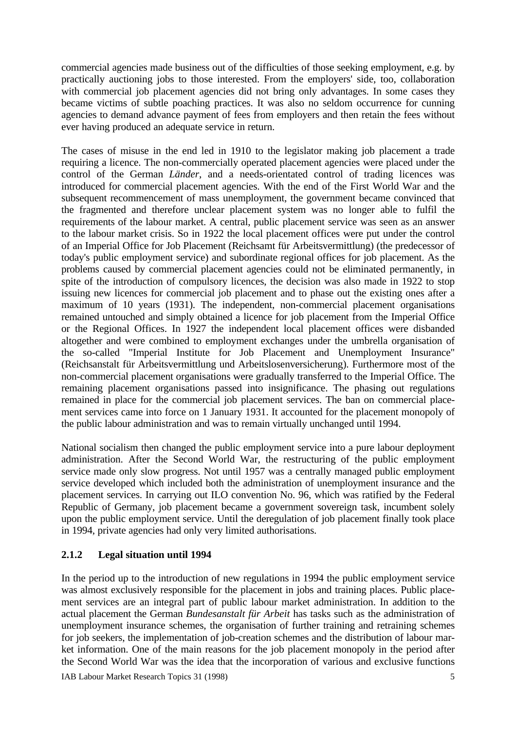commercial agencies made business out of the difficulties of those seeking employment, e.g. by practically auctioning jobs to those interested. From the employers' side, too, collaboration with commercial job placement agencies did not bring only advantages. In some cases they became victims of subtle poaching practices. It was also no seldom occurrence for cunning agencies to demand advance payment of fees from employers and then retain the fees without ever having produced an adequate service in return.

The cases of misuse in the end led in 1910 to the legislator making job placement a trade requiring a licence. The non-commercially operated placement agencies were placed under the control of the German *Länder*, and a needs-orientated control of trading licences was introduced for commercial placement agencies. With the end of the First World War and the subsequent recommencement of mass unemployment, the government became convinced that the fragmented and therefore unclear placement system was no longer able to fulfil the requirements of the labour market. A central, public placement service was seen as an answer to the labour market crisis. So in 1922 the local placement offices were put under the control of an Imperial Office for Job Placement (Reichsamt für Arbeitsvermittlung) (the predecessor of today's public employment service) and subordinate regional offices for job placement. As the problems caused by commercial placement agencies could not be eliminated permanently, in spite of the introduction of compulsory licences, the decision was also made in 1922 to stop issuing new licences for commercial job placement and to phase out the existing ones after a maximum of 10 years (1931). The independent, non-commercial placement organisations remained untouched and simply obtained a licence for job placement from the Imperial Office or the Regional Offices. In 1927 the independent local placement offices were disbanded altogether and were combined to employment exchanges under the umbrella organisation of the so-called "Imperial Institute for Job Placement and Unemployment Insurance" (Reichsanstalt für Arbeitsvermittlung und Arbeitslosenversicherung). Furthermore most of the non-commercial placement organisations were gradually transferred to the Imperial Office. The remaining placement organisations passed into insignificance. The phasing out regulations remained in place for the commercial job placement services. The ban on commercial placement services came into force on 1 January 1931. It accounted for the placement monopoly of the public labour administration and was to remain virtually unchanged until 1994.

National socialism then changed the public employment service into a pure labour deployment administration. After the Second World War, the restructuring of the public employment service made only slow progress. Not until 1957 was a centrally managed public employment service developed which included both the administration of unemployment insurance and the placement services. In carrying out ILO convention No. 96, which was ratified by the Federal Republic of Germany, job placement became a government sovereign task, incumbent solely upon the public employment service. Until the deregulation of job placement finally took place in 1994, private agencies had only very limited authorisations.

### **2.1.2 Legal situation until 1994**

In the period up to the introduction of new regulations in 1994 the public employment service was almost exclusively responsible for the placement in jobs and training places. Public placement services are an integral part of public labour market administration. In addition to the actual placement the German *Bundesanstalt für Arbeit* has tasks such as the administration of unemployment insurance schemes, the organisation of further training and retraining schemes for job seekers, the implementation of job-creation schemes and the distribution of labour market information. One of the main reasons for the job placement monopoly in the period after the Second World War was the idea that the incorporation of various and exclusive functions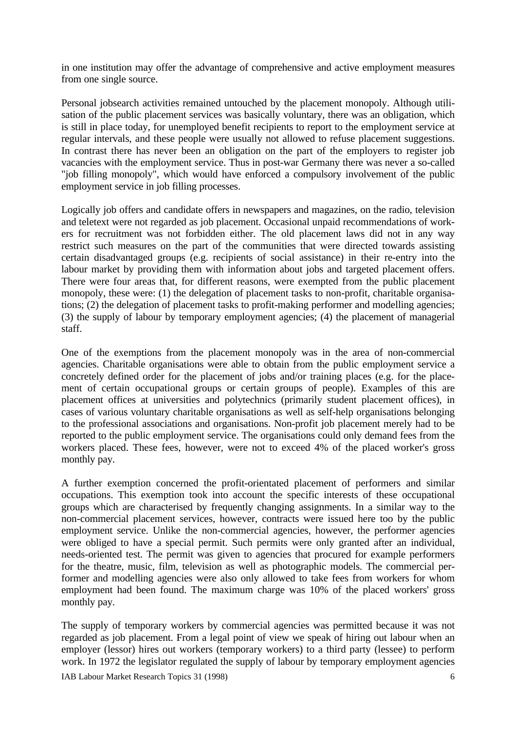in one institution may offer the advantage of comprehensive and active employment measures from one single source.

Personal jobsearch activities remained untouched by the placement monopoly. Although utilisation of the public placement services was basically voluntary, there was an obligation, which is still in place today, for unemployed benefit recipients to report to the employment service at regular intervals, and these people were usually not allowed to refuse placement suggestions. In contrast there has never been an obligation on the part of the employers to register job vacancies with the employment service. Thus in post-war Germany there was never a so-called "job filling monopoly", which would have enforced a compulsory involvement of the public employment service in job filling processes.

Logically job offers and candidate offers in newspapers and magazines, on the radio, television and teletext were not regarded as job placement. Occasional unpaid recommendations of workers for recruitment was not forbidden either. The old placement laws did not in any way restrict such measures on the part of the communities that were directed towards assisting certain disadvantaged groups (e.g. recipients of social assistance) in their re-entry into the labour market by providing them with information about jobs and targeted placement offers. There were four areas that, for different reasons, were exempted from the public placement monopoly, these were: (1) the delegation of placement tasks to non-profit, charitable organisations; (2) the delegation of placement tasks to profit-making performer and modelling agencies; (3) the supply of labour by temporary employment agencies; (4) the placement of managerial staff.

One of the exemptions from the placement monopoly was in the area of non-commercial agencies. Charitable organisations were able to obtain from the public employment service a concretely defined order for the placement of jobs and/or training places (e.g. for the placement of certain occupational groups or certain groups of people). Examples of this are placement offices at universities and polytechnics (primarily student placement offices), in cases of various voluntary charitable organisations as well as self-help organisations belonging to the professional associations and organisations. Non-profit job placement merely had to be reported to the public employment service. The organisations could only demand fees from the workers placed. These fees, however, were not to exceed 4% of the placed worker's gross monthly pay.

A further exemption concerned the profit-orientated placement of performers and similar occupations. This exemption took into account the specific interests of these occupational groups which are characterised by frequently changing assignments. In a similar way to the non-commercial placement services, however, contracts were issued here too by the public employment service. Unlike the non-commercial agencies, however, the performer agencies were obliged to have a special permit. Such permits were only granted after an individual, needs-oriented test. The permit was given to agencies that procured for example performers for the theatre, music, film, television as well as photographic models. The commercial performer and modelling agencies were also only allowed to take fees from workers for whom employment had been found. The maximum charge was 10% of the placed workers' gross monthly pay.

The supply of temporary workers by commercial agencies was permitted because it was not regarded as job placement. From a legal point of view we speak of hiring out labour when an employer (lessor) hires out workers (temporary workers) to a third party (lessee) to perform work. In 1972 the legislator regulated the supply of labour by temporary employment agencies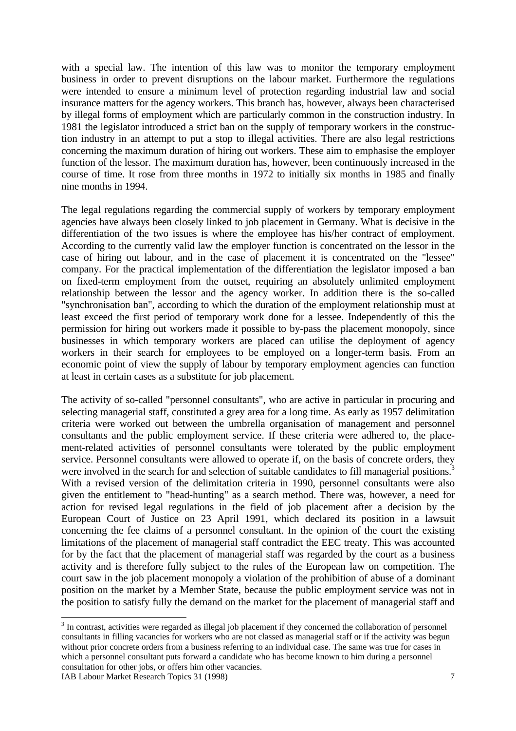with a special law. The intention of this law was to monitor the temporary employment business in order to prevent disruptions on the labour market. Furthermore the regulations were intended to ensure a minimum level of protection regarding industrial law and social insurance matters for the agency workers. This branch has, however, always been characterised by illegal forms of employment which are particularly common in the construction industry. In 1981 the legislator introduced a strict ban on the supply of temporary workers in the construction industry in an attempt to put a stop to illegal activities. There are also legal restrictions concerning the maximum duration of hiring out workers. These aim to emphasise the employer function of the lessor. The maximum duration has, however, been continuously increased in the course of time. It rose from three months in 1972 to initially six months in 1985 and finally nine months in 1994.

The legal regulations regarding the commercial supply of workers by temporary employment agencies have always been closely linked to job placement in Germany. What is decisive in the differentiation of the two issues is where the employee has his/her contract of employment. According to the currently valid law the employer function is concentrated on the lessor in the case of hiring out labour, and in the case of placement it is concentrated on the "lessee" company. For the practical implementation of the differentiation the legislator imposed a ban on fixed-term employment from the outset, requiring an absolutely unlimited employment relationship between the lessor and the agency worker. In addition there is the so-called "synchronisation ban", according to which the duration of the employment relationship must at least exceed the first period of temporary work done for a lessee. Independently of this the permission for hiring out workers made it possible to by-pass the placement monopoly, since businesses in which temporary workers are placed can utilise the deployment of agency workers in their search for employees to be employed on a longer-term basis. From an economic point of view the supply of labour by temporary employment agencies can function at least in certain cases as a substitute for job placement.

The activity of so-called "personnel consultants", who are active in particular in procuring and selecting managerial staff, constituted a grey area for a long time. As early as 1957 delimitation criteria were worked out between the umbrella organisation of management and personnel consultants and the public employment service. If these criteria were adhered to, the placement-related activities of personnel consultants were tolerated by the public employment service. Personnel consultants were allowed to operate if, on the basis of concrete orders, they were involved in the search for and selection of suitable candidates to fill managerial positions.<sup>3</sup> With a revised version of the delimitation criteria in 1990, personnel consultants were also given the entitlement to "head-hunting" as a search method. There was, however, a need for action for revised legal regulations in the field of job placement after a decision by the European Court of Justice on 23 April 1991, which declared its position in a lawsuit concerning the fee claims of a personnel consultant. In the opinion of the court the existing limitations of the placement of managerial staff contradict the EEC treaty. This was accounted for by the fact that the placement of managerial staff was regarded by the court as a business activity and is therefore fully subject to the rules of the European law on competition. The court saw in the job placement monopoly a violation of the prohibition of abuse of a dominant position on the market by a Member State, because the public employment service was not in the position to satisfy fully the demand on the market for the placement of managerial staff and

<sup>&</sup>lt;sup>3</sup> In contrast, activities were regarded as illegal job placement if they concerned the collaboration of personnel consultants in filling vacancies for workers who are not classed as managerial staff or if the activity was begun without prior concrete orders from a business referring to an individual case. The same was true for cases in which a personnel consultant puts forward a candidate who has become known to him during a personnel consultation for other jobs, or offers him other vacancies.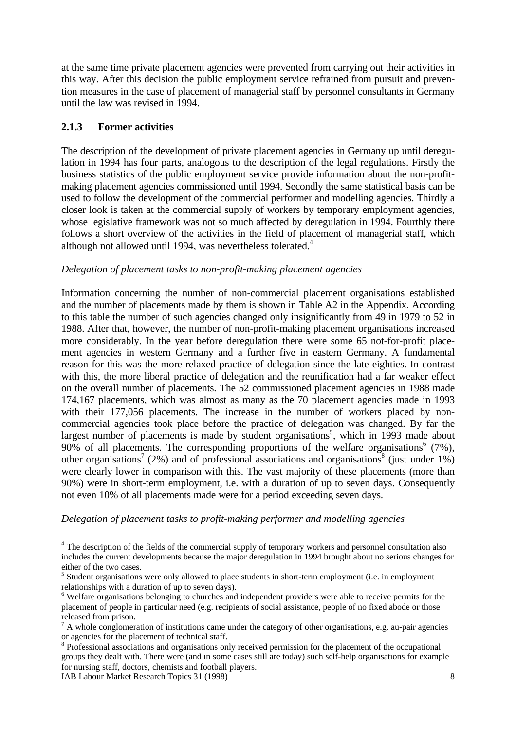at the same time private placement agencies were prevented from carrying out their activities in this way. After this decision the public employment service refrained from pursuit and prevention measures in the case of placement of managerial staff by personnel consultants in Germany until the law was revised in 1994.

### **2.1.3 Former activities**

The description of the development of private placement agencies in Germany up until deregulation in 1994 has four parts, analogous to the description of the legal regulations. Firstly the business statistics of the public employment service provide information about the non-profitmaking placement agencies commissioned until 1994. Secondly the same statistical basis can be used to follow the development of the commercial performer and modelling agencies. Thirdly a closer look is taken at the commercial supply of workers by temporary employment agencies, whose legislative framework was not so much affected by deregulation in 1994. Fourthly there follows a short overview of the activities in the field of placement of managerial staff, which although not allowed until 1994, was nevertheless tolerated.<sup>4</sup>

### *Delegation of placement tasks to non-profit-making placement agencies*

Information concerning the number of non-commercial placement organisations established and the number of placements made by them is shown in Table A2 in the Appendix. According to this table the number of such agencies changed only insignificantly from 49 in 1979 to 52 in 1988. After that, however, the number of non-profit-making placement organisations increased more considerably. In the year before deregulation there were some 65 not-for-profit placement agencies in western Germany and a further five in eastern Germany. A fundamental reason for this was the more relaxed practice of delegation since the late eighties. In contrast with this, the more liberal practice of delegation and the reunification had a far weaker effect on the overall number of placements. The 52 commissioned placement agencies in 1988 made 174,167 placements, which was almost as many as the 70 placement agencies made in 1993 with their 177,056 placements. The increase in the number of workers placed by noncommercial agencies took place before the practice of delegation was changed. By far the largest number of placements is made by student organisations<sup>5</sup>, which in 1993 made about 90% of all placements. The corresponding proportions of the welfare organisations<sup>6</sup> (7%), other organisations<sup>7</sup> (2%) and of professional associations and organisations<sup>8</sup> (just under 1%) were clearly lower in comparison with this. The vast majority of these placements (more than 90%) were in short-term employment, i.e. with a duration of up to seven days. Consequently not even 10% of all placements made were for a period exceeding seven days.

*Delegation of placement tasks to profit-making performer and modelling agencies*

IAB Labour Market Research Topics 31 (1998) 8

-

<sup>&</sup>lt;sup>4</sup> The description of the fields of the commercial supply of temporary workers and personnel consultation also includes the current developments because the major deregulation in 1994 brought about no serious changes for either of the two cases.

<sup>&</sup>lt;sup>5</sup> Student organisations were only allowed to place students in short-term employment (i.e. in employment relationships with a duration of up to seven days).

<sup>&</sup>lt;sup>6</sup> Welfare organisations belonging to churches and independent providers were able to receive permits for the placement of people in particular need (e.g. recipients of social assistance, people of no fixed abode or those released from prison.

 $<sup>7</sup>$  A whole conglomeration of institutions came under the category of other organisations, e.g. au-pair agencies</sup> or agencies for the placement of technical staff.

<sup>&</sup>lt;sup>8</sup> Professional associations and organisations only received permission for the placement of the occupational groups they dealt with. There were (and in some cases still are today) such self-help organisations for example for nursing staff, doctors, chemists and football players.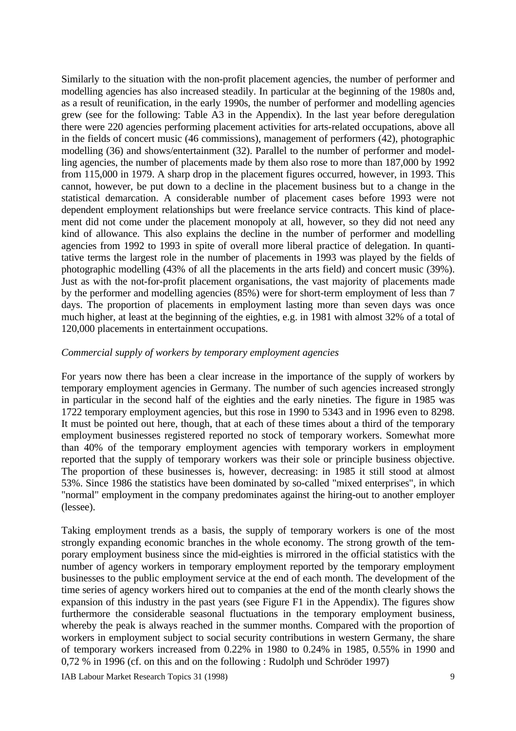Similarly to the situation with the non-profit placement agencies, the number of performer and modelling agencies has also increased steadily. In particular at the beginning of the 1980s and, as a result of reunification, in the early 1990s, the number of performer and modelling agencies grew (see for the following: Table A3 in the Appendix). In the last year before deregulation there were 220 agencies performing placement activities for arts-related occupations, above all in the fields of concert music (46 commissions), management of performers (42), photographic modelling (36) and shows/entertainment (32). Parallel to the number of performer and modelling agencies, the number of placements made by them also rose to more than 187,000 by 1992 from 115,000 in 1979. A sharp drop in the placement figures occurred, however, in 1993. This cannot, however, be put down to a decline in the placement business but to a change in the statistical demarcation. A considerable number of placement cases before 1993 were not dependent employment relationships but were freelance service contracts. This kind of placement did not come under the placement monopoly at all, however, so they did not need any kind of allowance. This also explains the decline in the number of performer and modelling agencies from 1992 to 1993 in spite of overall more liberal practice of delegation. In quantitative terms the largest role in the number of placements in 1993 was played by the fields of photographic modelling (43% of all the placements in the arts field) and concert music (39%). Just as with the not-for-profit placement organisations, the vast majority of placements made by the performer and modelling agencies (85%) were for short-term employment of less than 7 days. The proportion of placements in employment lasting more than seven days was once much higher, at least at the beginning of the eighties, e.g. in 1981 with almost 32% of a total of 120,000 placements in entertainment occupations.

#### *Commercial supply of workers by temporary employment agencies*

For years now there has been a clear increase in the importance of the supply of workers by temporary employment agencies in Germany. The number of such agencies increased strongly in particular in the second half of the eighties and the early nineties. The figure in 1985 was 1722 temporary employment agencies, but this rose in 1990 to 5343 and in 1996 even to 8298. It must be pointed out here, though, that at each of these times about a third of the temporary employment businesses registered reported no stock of temporary workers. Somewhat more than 40% of the temporary employment agencies with temporary workers in employment reported that the supply of temporary workers was their sole or principle business objective. The proportion of these businesses is, however, decreasing: in 1985 it still stood at almost 53%. Since 1986 the statistics have been dominated by so-called "mixed enterprises", in which "normal" employment in the company predominates against the hiring-out to another employer (lessee).

Taking employment trends as a basis, the supply of temporary workers is one of the most strongly expanding economic branches in the whole economy. The strong growth of the temporary employment business since the mid-eighties is mirrored in the official statistics with the number of agency workers in temporary employment reported by the temporary employment businesses to the public employment service at the end of each month. The development of the time series of agency workers hired out to companies at the end of the month clearly shows the expansion of this industry in the past years (see Figure F1 in the Appendix). The figures show furthermore the considerable seasonal fluctuations in the temporary employment business, whereby the peak is always reached in the summer months. Compared with the proportion of workers in employment subject to social security contributions in western Germany, the share of temporary workers increased from 0.22% in 1980 to 0.24% in 1985, 0.55% in 1990 and 0,72 % in 1996 (cf. on this and on the following : Rudolph und Schröder 1997)

IAB Labour Market Research Topics 31 (1998) 9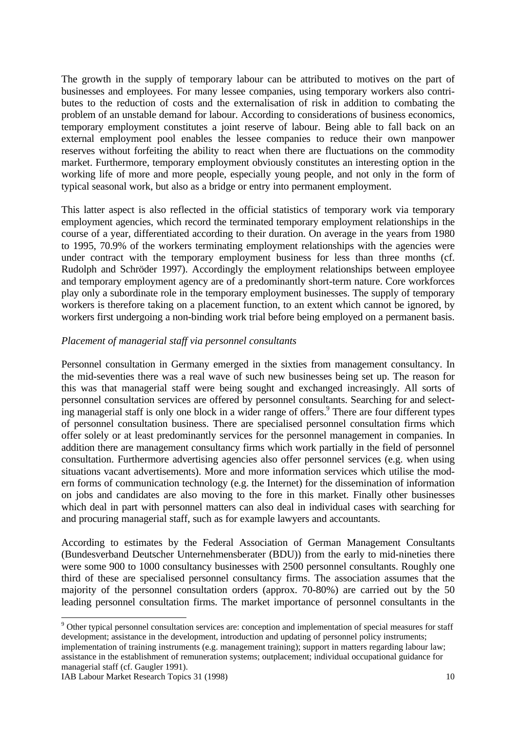The growth in the supply of temporary labour can be attributed to motives on the part of businesses and employees. For many lessee companies, using temporary workers also contributes to the reduction of costs and the externalisation of risk in addition to combating the problem of an unstable demand for labour. According to considerations of business economics, temporary employment constitutes a joint reserve of labour. Being able to fall back on an external employment pool enables the lessee companies to reduce their own manpower reserves without forfeiting the ability to react when there are fluctuations on the commodity market. Furthermore, temporary employment obviously constitutes an interesting option in the working life of more and more people, especially young people, and not only in the form of typical seasonal work, but also as a bridge or entry into permanent employment.

This latter aspect is also reflected in the official statistics of temporary work via temporary employment agencies, which record the terminated temporary employment relationships in the course of a year, differentiated according to their duration. On average in the years from 1980 to 1995, 70.9% of the workers terminating employment relationships with the agencies were under contract with the temporary employment business for less than three months (cf. Rudolph and Schröder 1997). Accordingly the employment relationships between employee and temporary employment agency are of a predominantly short-term nature. Core workforces play only a subordinate role in the temporary employment businesses. The supply of temporary workers is therefore taking on a placement function, to an extent which cannot be ignored, by workers first undergoing a non-binding work trial before being employed on a permanent basis.

#### *Placement of managerial staff via personnel consultants*

Personnel consultation in Germany emerged in the sixties from management consultancy. In the mid-seventies there was a real wave of such new businesses being set up. The reason for this was that managerial staff were being sought and exchanged increasingly. All sorts of personnel consultation services are offered by personnel consultants. Searching for and selecting managerial staff is only one block in a wider range of offers.<sup>9</sup> There are four different types of personnel consultation business. There are specialised personnel consultation firms which offer solely or at least predominantly services for the personnel management in companies. In addition there are management consultancy firms which work partially in the field of personnel consultation. Furthermore advertising agencies also offer personnel services (e.g. when using situations vacant advertisements). More and more information services which utilise the modern forms of communication technology (e.g. the Internet) for the dissemination of information on jobs and candidates are also moving to the fore in this market. Finally other businesses which deal in part with personnel matters can also deal in individual cases with searching for and procuring managerial staff, such as for example lawyers and accountants.

According to estimates by the Federal Association of German Management Consultants (Bundesverband Deutscher Unternehmensberater (BDU)) from the early to mid-nineties there were some 900 to 1000 consultancy businesses with 2500 personnel consultants. Roughly one third of these are specialised personnel consultancy firms. The association assumes that the majority of the personnel consultation orders (approx. 70-80%) are carried out by the 50 leading personnel consultation firms. The market importance of personnel consultants in the

-

<sup>&</sup>lt;sup>9</sup> Other typical personnel consultation services are: conception and implementation of special measures for staff development; assistance in the development, introduction and updating of personnel policy instruments; implementation of training instruments (e.g. management training); support in matters regarding labour law; assistance in the establishment of remuneration systems; outplacement; individual occupational guidance for managerial staff (cf. Gaugler 1991).

IAB Labour Market Research Topics 31 (1998) 10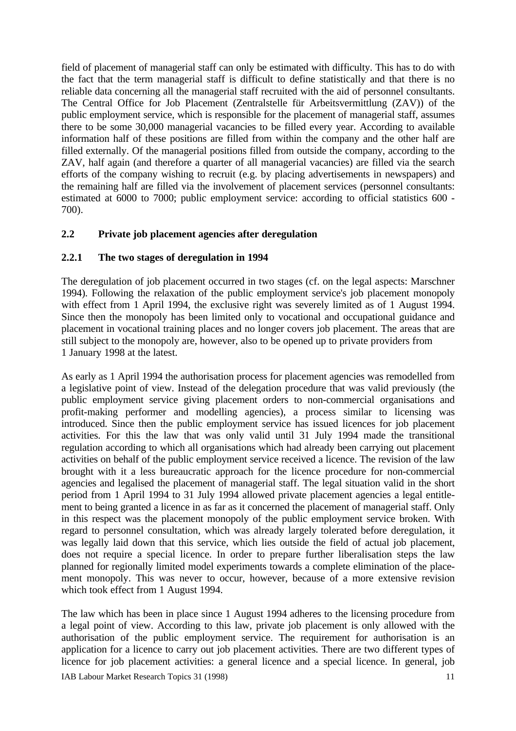field of placement of managerial staff can only be estimated with difficulty. This has to do with the fact that the term managerial staff is difficult to define statistically and that there is no reliable data concerning all the managerial staff recruited with the aid of personnel consultants. The Central Office for Job Placement (Zentralstelle für Arbeitsvermittlung (ZAV)) of the public employment service, which is responsible for the placement of managerial staff, assumes there to be some 30,000 managerial vacancies to be filled every year. According to available information half of these positions are filled from within the company and the other half are filled externally. Of the managerial positions filled from outside the company, according to the ZAV, half again (and therefore a quarter of all managerial vacancies) are filled via the search efforts of the company wishing to recruit (e.g. by placing advertisements in newspapers) and the remaining half are filled via the involvement of placement services (personnel consultants: estimated at 6000 to 7000; public employment service: according to official statistics 600 - 700).

### **2.2 Private job placement agencies after deregulation**

### **2.2.1 The two stages of deregulation in 1994**

The deregulation of job placement occurred in two stages (cf. on the legal aspects: Marschner 1994). Following the relaxation of the public employment service's job placement monopoly with effect from 1 April 1994, the exclusive right was severely limited as of 1 August 1994. Since then the monopoly has been limited only to vocational and occupational guidance and placement in vocational training places and no longer covers job placement. The areas that are still subject to the monopoly are, however, also to be opened up to private providers from 1 January 1998 at the latest.

As early as 1 April 1994 the authorisation process for placement agencies was remodelled from a legislative point of view. Instead of the delegation procedure that was valid previously (the public employment service giving placement orders to non-commercial organisations and profit-making performer and modelling agencies), a process similar to licensing was introduced. Since then the public employment service has issued licences for job placement activities. For this the law that was only valid until 31 July 1994 made the transitional regulation according to which all organisations which had already been carrying out placement activities on behalf of the public employment service received a licence. The revision of the law brought with it a less bureaucratic approach for the licence procedure for non-commercial agencies and legalised the placement of managerial staff. The legal situation valid in the short period from 1 April 1994 to 31 July 1994 allowed private placement agencies a legal entitlement to being granted a licence in as far as it concerned the placement of managerial staff. Only in this respect was the placement monopoly of the public employment service broken. With regard to personnel consultation, which was already largely tolerated before deregulation, it was legally laid down that this service, which lies outside the field of actual job placement, does not require a special licence. In order to prepare further liberalisation steps the law planned for regionally limited model experiments towards a complete elimination of the placement monopoly. This was never to occur, however, because of a more extensive revision which took effect from 1 August 1994.

The law which has been in place since 1 August 1994 adheres to the licensing procedure from a legal point of view. According to this law, private job placement is only allowed with the authorisation of the public employment service. The requirement for authorisation is an application for a licence to carry out job placement activities. There are two different types of licence for job placement activities: a general licence and a special licence. In general, job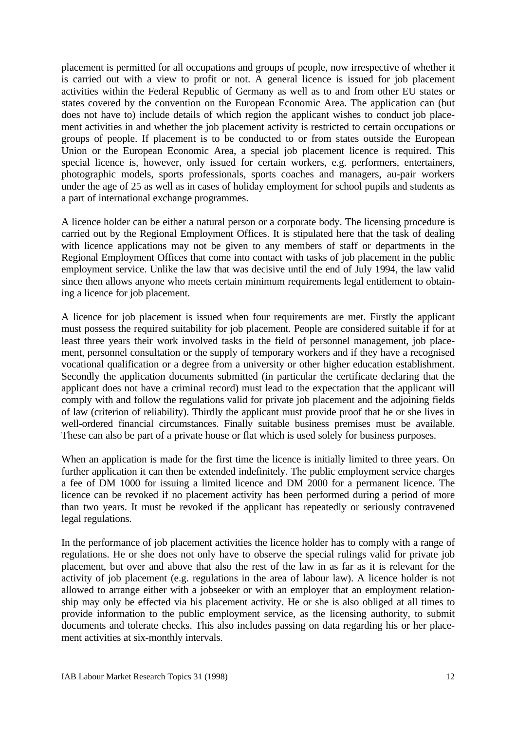placement is permitted for all occupations and groups of people, now irrespective of whether it is carried out with a view to profit or not. A general licence is issued for job placement activities within the Federal Republic of Germany as well as to and from other EU states or states covered by the convention on the European Economic Area. The application can (but does not have to) include details of which region the applicant wishes to conduct job placement activities in and whether the job placement activity is restricted to certain occupations or groups of people. If placement is to be conducted to or from states outside the European Union or the European Economic Area, a special job placement licence is required. This special licence is, however, only issued for certain workers, e.g. performers, entertainers, photographic models, sports professionals, sports coaches and managers, au-pair workers under the age of 25 as well as in cases of holiday employment for school pupils and students as a part of international exchange programmes.

A licence holder can be either a natural person or a corporate body. The licensing procedure is carried out by the Regional Employment Offices. It is stipulated here that the task of dealing with licence applications may not be given to any members of staff or departments in the Regional Employment Offices that come into contact with tasks of job placement in the public employment service. Unlike the law that was decisive until the end of July 1994, the law valid since then allows anyone who meets certain minimum requirements legal entitlement to obtaining a licence for job placement.

A licence for job placement is issued when four requirements are met. Firstly the applicant must possess the required suitability for job placement. People are considered suitable if for at least three years their work involved tasks in the field of personnel management, job placement, personnel consultation or the supply of temporary workers and if they have a recognised vocational qualification or a degree from a university or other higher education establishment. Secondly the application documents submitted (in particular the certificate declaring that the applicant does not have a criminal record) must lead to the expectation that the applicant will comply with and follow the regulations valid for private job placement and the adjoining fields of law (criterion of reliability). Thirdly the applicant must provide proof that he or she lives in well-ordered financial circumstances. Finally suitable business premises must be available. These can also be part of a private house or flat which is used solely for business purposes.

When an application is made for the first time the licence is initially limited to three years. On further application it can then be extended indefinitely. The public employment service charges a fee of DM 1000 for issuing a limited licence and DM 2000 for a permanent licence. The licence can be revoked if no placement activity has been performed during a period of more than two years. It must be revoked if the applicant has repeatedly or seriously contravened legal regulations.

In the performance of job placement activities the licence holder has to comply with a range of regulations. He or she does not only have to observe the special rulings valid for private job placement, but over and above that also the rest of the law in as far as it is relevant for the activity of job placement (e.g. regulations in the area of labour law). A licence holder is not allowed to arrange either with a jobseeker or with an employer that an employment relationship may only be effected via his placement activity. He or she is also obliged at all times to provide information to the public employment service, as the licensing authority, to submit documents and tolerate checks. This also includes passing on data regarding his or her placement activities at six-monthly intervals.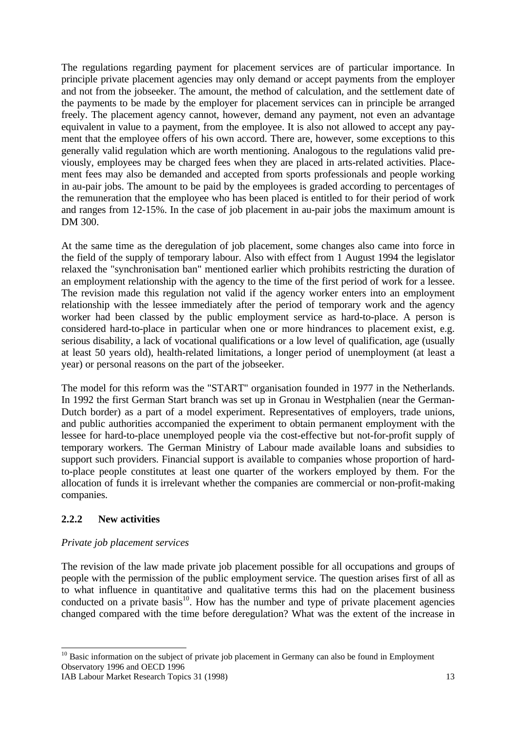The regulations regarding payment for placement services are of particular importance. In principle private placement agencies may only demand or accept payments from the employer and not from the jobseeker. The amount, the method of calculation, and the settlement date of the payments to be made by the employer for placement services can in principle be arranged freely. The placement agency cannot, however, demand any payment, not even an advantage equivalent in value to a payment, from the employee. It is also not allowed to accept any payment that the employee offers of his own accord. There are, however, some exceptions to this generally valid regulation which are worth mentioning. Analogous to the regulations valid previously, employees may be charged fees when they are placed in arts-related activities. Placement fees may also be demanded and accepted from sports professionals and people working in au-pair jobs. The amount to be paid by the employees is graded according to percentages of the remuneration that the employee who has been placed is entitled to for their period of work and ranges from 12-15%. In the case of job placement in au-pair jobs the maximum amount is DM 300.

At the same time as the deregulation of job placement, some changes also came into force in the field of the supply of temporary labour. Also with effect from 1 August 1994 the legislator relaxed the "synchronisation ban" mentioned earlier which prohibits restricting the duration of an employment relationship with the agency to the time of the first period of work for a lessee. The revision made this regulation not valid if the agency worker enters into an employment relationship with the lessee immediately after the period of temporary work and the agency worker had been classed by the public employment service as hard-to-place. A person is considered hard-to-place in particular when one or more hindrances to placement exist, e.g. serious disability, a lack of vocational qualifications or a low level of qualification, age (usually at least 50 years old), health-related limitations, a longer period of unemployment (at least a year) or personal reasons on the part of the jobseeker.

The model for this reform was the "START" organisation founded in 1977 in the Netherlands. In 1992 the first German Start branch was set up in Gronau in Westphalien (near the German-Dutch border) as a part of a model experiment. Representatives of employers, trade unions, and public authorities accompanied the experiment to obtain permanent employment with the lessee for hard-to-place unemployed people via the cost-effective but not-for-profit supply of temporary workers. The German Ministry of Labour made available loans and subsidies to support such providers. Financial support is available to companies whose proportion of hardto-place people constitutes at least one quarter of the workers employed by them. For the allocation of funds it is irrelevant whether the companies are commercial or non-profit-making companies.

### **2.2.2 New activities**

-

### *Private job placement services*

The revision of the law made private job placement possible for all occupations and groups of people with the permission of the public employment service. The question arises first of all as to what influence in quantitative and qualitative terms this had on the placement business conducted on a private  $basis^{10}$ . How has the number and type of private placement agencies changed compared with the time before deregulation? What was the extent of the increase in

 $10$  Basic information on the subject of private job placement in Germany can also be found in Employment Observatory 1996 and OECD 1996

IAB Labour Market Research Topics 31 (1998) 13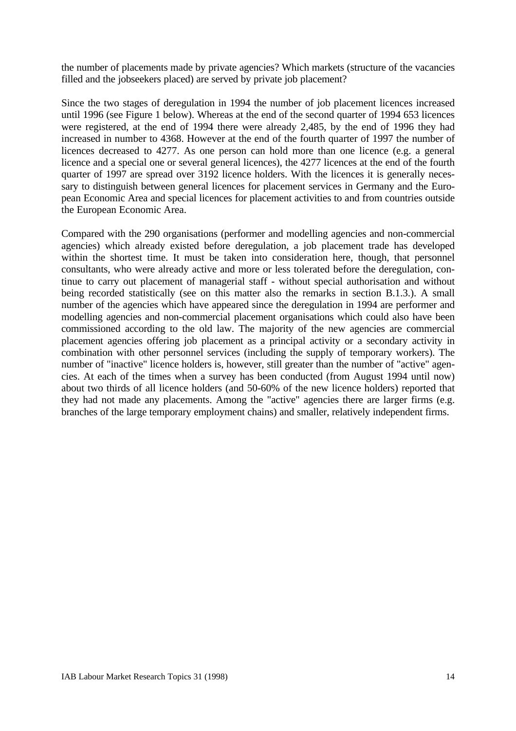the number of placements made by private agencies? Which markets (structure of the vacancies filled and the jobseekers placed) are served by private job placement?

Since the two stages of deregulation in 1994 the number of job placement licences increased until 1996 (see Figure 1 below). Whereas at the end of the second quarter of 1994 653 licences were registered, at the end of 1994 there were already 2,485, by the end of 1996 they had increased in number to 4368. However at the end of the fourth quarter of 1997 the number of licences decreased to 4277. As one person can hold more than one licence (e.g. a general licence and a special one or several general licences), the 4277 licences at the end of the fourth quarter of 1997 are spread over 3192 licence holders. With the licences it is generally necessary to distinguish between general licences for placement services in Germany and the European Economic Area and special licences for placement activities to and from countries outside the European Economic Area.

Compared with the 290 organisations (performer and modelling agencies and non-commercial agencies) which already existed before deregulation, a job placement trade has developed within the shortest time. It must be taken into consideration here, though, that personnel consultants, who were already active and more or less tolerated before the deregulation, continue to carry out placement of managerial staff - without special authorisation and without being recorded statistically (see on this matter also the remarks in section B.1.3.). A small number of the agencies which have appeared since the deregulation in 1994 are performer and modelling agencies and non-commercial placement organisations which could also have been commissioned according to the old law. The majority of the new agencies are commercial placement agencies offering job placement as a principal activity or a secondary activity in combination with other personnel services (including the supply of temporary workers). The number of "inactive" licence holders is, however, still greater than the number of "active" agencies. At each of the times when a survey has been conducted (from August 1994 until now) about two thirds of all licence holders (and 50-60% of the new licence holders) reported that they had not made any placements. Among the "active" agencies there are larger firms (e.g. branches of the large temporary employment chains) and smaller, relatively independent firms.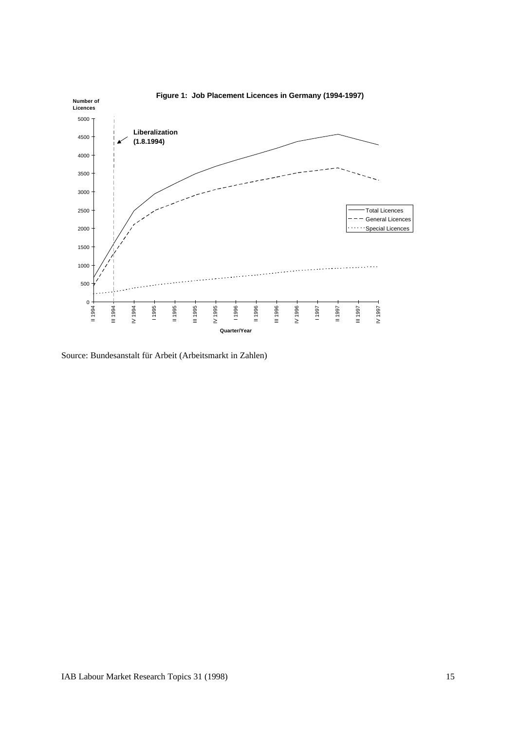

Source: Bundesanstalt für Arbeit (Arbeitsmarkt in Zahlen)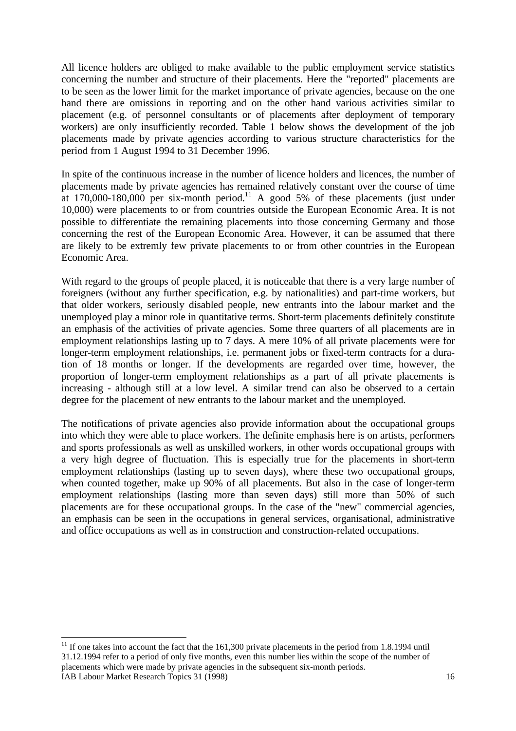All licence holders are obliged to make available to the public employment service statistics concerning the number and structure of their placements. Here the "reported" placements are to be seen as the lower limit for the market importance of private agencies, because on the one hand there are omissions in reporting and on the other hand various activities similar to placement (e.g. of personnel consultants or of placements after deployment of temporary workers) are only insufficiently recorded. Table 1 below shows the development of the job placements made by private agencies according to various structure characteristics for the period from 1 August 1994 to 31 December 1996.

In spite of the continuous increase in the number of licence holders and licences, the number of placements made by private agencies has remained relatively constant over the course of time at  $170,000-180,000$  per six-month period.<sup>11</sup> A good 5% of these placements (just under 10,000) were placements to or from countries outside the European Economic Area. It is not possible to differentiate the remaining placements into those concerning Germany and those concerning the rest of the European Economic Area. However, it can be assumed that there are likely to be extremly few private placements to or from other countries in the European Economic Area.

With regard to the groups of people placed, it is noticeable that there is a very large number of foreigners (without any further specification, e.g. by nationalities) and part-time workers, but that older workers, seriously disabled people, new entrants into the labour market and the unemployed play a minor role in quantitative terms. Short-term placements definitely constitute an emphasis of the activities of private agencies. Some three quarters of all placements are in employment relationships lasting up to 7 days. A mere 10% of all private placements were for longer-term employment relationships, i.e. permanent jobs or fixed-term contracts for a duration of 18 months or longer. If the developments are regarded over time, however, the proportion of longer-term employment relationships as a part of all private placements is increasing - although still at a low level. A similar trend can also be observed to a certain degree for the placement of new entrants to the labour market and the unemployed.

The notifications of private agencies also provide information about the occupational groups into which they were able to place workers. The definite emphasis here is on artists, performers and sports professionals as well as unskilled workers, in other words occupational groups with a very high degree of fluctuation. This is especially true for the placements in short-term employment relationships (lasting up to seven days), where these two occupational groups, when counted together, make up 90% of all placements. But also in the case of longer-term employment relationships (lasting more than seven days) still more than 50% of such placements are for these occupational groups. In the case of the "new" commercial agencies, an emphasis can be seen in the occupations in general services, organisational, administrative and office occupations as well as in construction and construction-related occupations.

IAB Labour Market Research Topics 31 (1998) 16 - $11$  If one takes into account the fact that the 161,300 private placements in the period from 1.8.1994 until 31.12.1994 refer to a period of only five months, even this number lies within the scope of the number of placements which were made by private agencies in the subsequent six-month periods.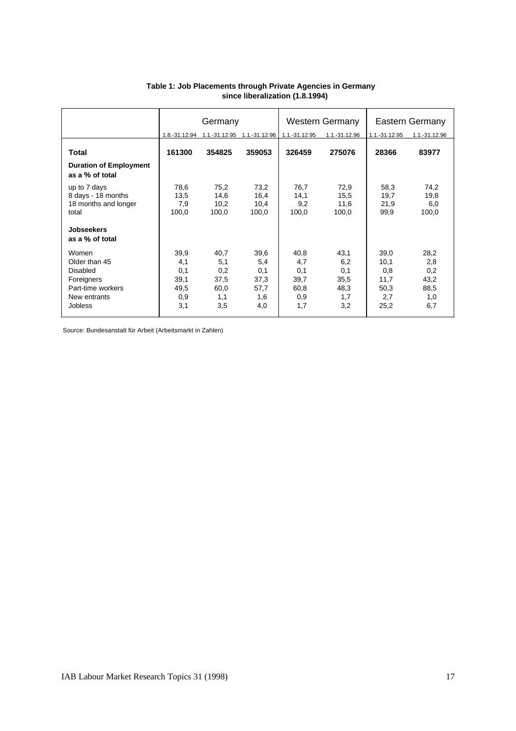|                                                                                                                |                                                  | Germany                                          |                                                  |                                                  | <b>Western Germany</b>                           |                                                    | Eastern Germany                                  |
|----------------------------------------------------------------------------------------------------------------|--------------------------------------------------|--------------------------------------------------|--------------------------------------------------|--------------------------------------------------|--------------------------------------------------|----------------------------------------------------|--------------------------------------------------|
|                                                                                                                |                                                  |                                                  | 1.8.-31.12.94  1.1.-31.12.95  1.1.-31.12.96      | 1.1.-31.12.95                                    | 1.1.-31.12.96                                    | 1.1.-31.12.95                                      | 1.1.-31.12.96                                    |
| <b>Total</b>                                                                                                   | 161300                                           | 354825                                           | 359053                                           | 326459                                           | 275076                                           | 28366                                              | 83977                                            |
| <b>Duration of Employment</b><br>as a % of total                                                               |                                                  |                                                  |                                                  |                                                  |                                                  |                                                    |                                                  |
| up to 7 days<br>8 days - 18 months<br>18 months and longer<br>total                                            | 78,6<br>13,5<br>7,9<br>100,0                     | 75,2<br>14,6<br>10,2<br>100,0                    | 73,2<br>16,4<br>10,4<br>100,0                    | 76,7<br>14,1<br>9,2<br>100,0                     | 72,9<br>15,5<br>11,6<br>100,0                    | 58,3<br>19,7<br>21,9<br>99,9                       | 74,2<br>19,8<br>6,0<br>100,0                     |
| <b>Jobseekers</b><br>as a % of total                                                                           |                                                  |                                                  |                                                  |                                                  |                                                  |                                                    |                                                  |
| Women<br>Older than 45<br><b>Disabled</b><br>Foreigners<br>Part-time workers<br>New entrants<br><b>Jobless</b> | 39,9<br>4,1<br>0,1<br>39,1<br>49,5<br>0,9<br>3,1 | 40,7<br>5,1<br>0,2<br>37,5<br>60,0<br>1,1<br>3,5 | 39,6<br>5,4<br>0,1<br>37,3<br>57,7<br>1,6<br>4,0 | 40,8<br>4,7<br>0,1<br>39,7<br>60,8<br>0,9<br>1,7 | 43,1<br>6,2<br>0,1<br>35,5<br>48,3<br>1,7<br>3,2 | 39,0<br>10,1<br>0,8<br>11,7<br>50,3<br>2,7<br>25,2 | 28,2<br>2,8<br>0,2<br>43,2<br>88,5<br>1,0<br>6,7 |

#### **Table 1: Job Placements through Private Agencies in Germany since liberalization (1.8.1994)**

Source: Bundesanstalt für Arbeit (Arbeitsmarkt in Zahlen)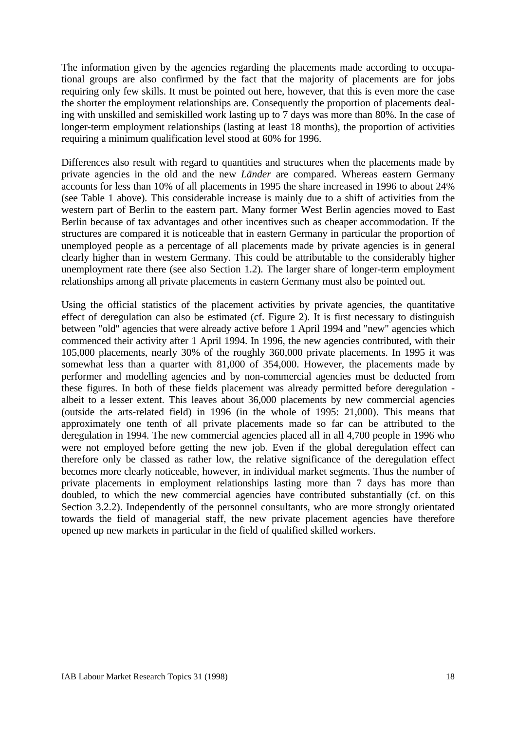The information given by the agencies regarding the placements made according to occupational groups are also confirmed by the fact that the majority of placements are for jobs requiring only few skills. It must be pointed out here, however, that this is even more the case the shorter the employment relationships are. Consequently the proportion of placements dealing with unskilled and semiskilled work lasting up to 7 days was more than 80%. In the case of longer-term employment relationships (lasting at least 18 months), the proportion of activities requiring a minimum qualification level stood at 60% for 1996.

Differences also result with regard to quantities and structures when the placements made by private agencies in the old and the new *Länder* are compared. Whereas eastern Germany accounts for less than 10% of all placements in 1995 the share increased in 1996 to about 24% (see Table 1 above). This considerable increase is mainly due to a shift of activities from the western part of Berlin to the eastern part. Many former West Berlin agencies moved to East Berlin because of tax advantages and other incentives such as cheaper accommodation. If the structures are compared it is noticeable that in eastern Germany in particular the proportion of unemployed people as a percentage of all placements made by private agencies is in general clearly higher than in western Germany. This could be attributable to the considerably higher unemployment rate there (see also Section 1.2). The larger share of longer-term employment relationships among all private placements in eastern Germany must also be pointed out.

Using the official statistics of the placement activities by private agencies, the quantitative effect of deregulation can also be estimated (cf. Figure 2). It is first necessary to distinguish between "old" agencies that were already active before 1 April 1994 and "new" agencies which commenced their activity after 1 April 1994. In 1996, the new agencies contributed, with their 105,000 placements, nearly 30% of the roughly 360,000 private placements. In 1995 it was somewhat less than a quarter with 81,000 of 354,000. However, the placements made by performer and modelling agencies and by non-commercial agencies must be deducted from these figures. In both of these fields placement was already permitted before deregulation albeit to a lesser extent. This leaves about 36,000 placements by new commercial agencies (outside the arts-related field) in 1996 (in the whole of 1995: 21,000). This means that approximately one tenth of all private placements made so far can be attributed to the deregulation in 1994. The new commercial agencies placed all in all 4,700 people in 1996 who were not employed before getting the new job. Even if the global deregulation effect can therefore only be classed as rather low, the relative significance of the deregulation effect becomes more clearly noticeable, however, in individual market segments. Thus the number of private placements in employment relationships lasting more than 7 days has more than doubled, to which the new commercial agencies have contributed substantially (cf. on this Section 3.2.2). Independently of the personnel consultants, who are more strongly orientated towards the field of managerial staff, the new private placement agencies have therefore opened up new markets in particular in the field of qualified skilled workers.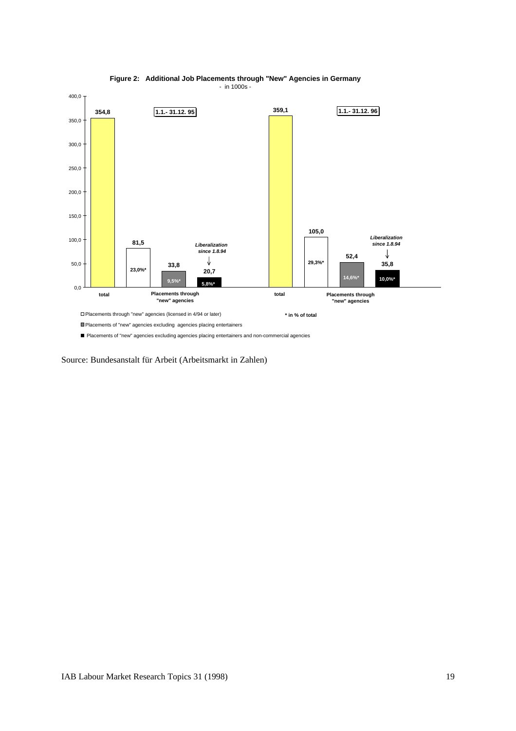



Placements of "new" agencies excluding agencies placing entertainers and non-commercial agencies

Source: Bundesanstalt für Arbeit (Arbeitsmarkt in Zahlen)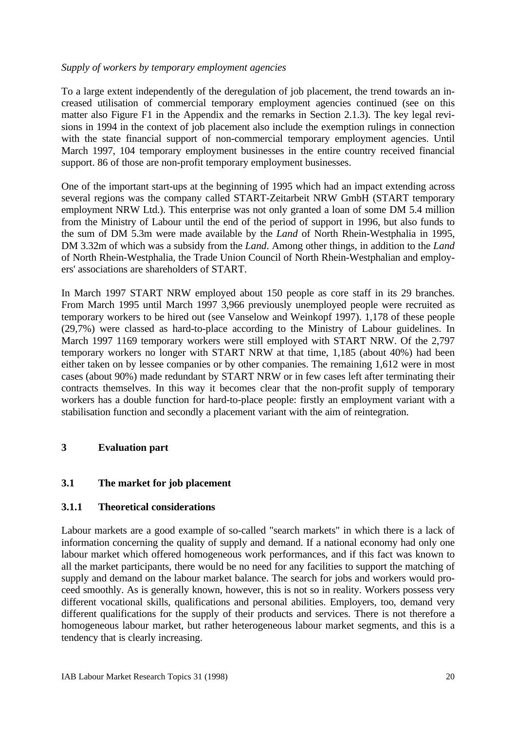### *Supply of workers by temporary employment agencies*

To a large extent independently of the deregulation of job placement, the trend towards an increased utilisation of commercial temporary employment agencies continued (see on this matter also Figure F1 in the Appendix and the remarks in Section 2.1.3). The key legal revisions in 1994 in the context of job placement also include the exemption rulings in connection with the state financial support of non-commercial temporary employment agencies. Until March 1997, 104 temporary employment businesses in the entire country received financial support. 86 of those are non-profit temporary employment businesses.

One of the important start-ups at the beginning of 1995 which had an impact extending across several regions was the company called START-Zeitarbeit NRW GmbH (START temporary employment NRW Ltd.). This enterprise was not only granted a loan of some DM 5.4 million from the Ministry of Labour until the end of the period of support in 1996, but also funds to the sum of DM 5.3m were made available by the *Land* of North Rhein-Westphalia in 1995, DM 3.32m of which was a subsidy from the *Land*. Among other things, in addition to the *Land* of North Rhein-Westphalia, the Trade Union Council of North Rhein-Westphalian and employers' associations are shareholders of START.

In March 1997 START NRW employed about 150 people as core staff in its 29 branches. From March 1995 until March 1997 3,966 previously unemployed people were recruited as temporary workers to be hired out (see Vanselow and Weinkopf 1997). 1,178 of these people (29,7%) were classed as hard-to-place according to the Ministry of Labour guidelines. In March 1997 1169 temporary workers were still employed with START NRW. Of the 2,797 temporary workers no longer with START NRW at that time, 1,185 (about 40%) had been either taken on by lessee companies or by other companies. The remaining 1,612 were in most cases (about 90%) made redundant by START NRW or in few cases left after terminating their contracts themselves. In this way it becomes clear that the non-profit supply of temporary workers has a double function for hard-to-place people: firstly an employment variant with a stabilisation function and secondly a placement variant with the aim of reintegration.

### **3 Evaluation part**

### **3.1 The market for job placement**

### **3.1.1 Theoretical considerations**

Labour markets are a good example of so-called "search markets" in which there is a lack of information concerning the quality of supply and demand. If a national economy had only one labour market which offered homogeneous work performances, and if this fact was known to all the market participants, there would be no need for any facilities to support the matching of supply and demand on the labour market balance. The search for jobs and workers would proceed smoothly. As is generally known, however, this is not so in reality. Workers possess very different vocational skills, qualifications and personal abilities. Employers, too, demand very different qualifications for the supply of their products and services. There is not therefore a homogeneous labour market, but rather heterogeneous labour market segments, and this is a tendency that is clearly increasing.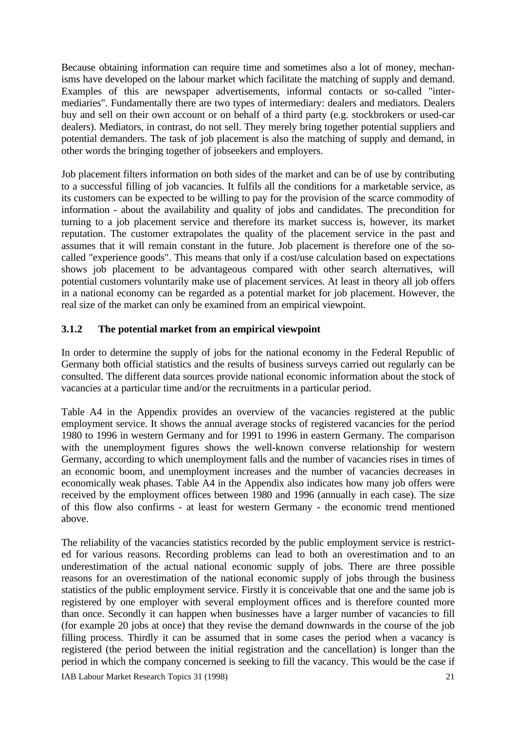Because obtaining information can require time and sometimes also a lot of money, mechanisms have developed on the labour market which facilitate the matching of supply and demand. Examples of this are newspaper advertisements, informal contacts or so-called "intermediaries". Fundamentally there are two types of intermediary: dealers and mediators. Dealers buy and sell on their own account or on behalf of a third party (e.g. stockbrokers or used-car dealers). Mediators, in contrast, do not sell. They merely bring together potential suppliers and potential demanders. The task of job placement is also the matching of supply and demand, in other words the bringing together of jobseekers and employers.

Job placement filters information on both sides of the market and can be of use by contributing to a successful filling of job vacancies. It fulfils all the conditions for a marketable service, as its customers can be expected to be willing to pay for the provision of the scarce commodity of information - about the availability and quality of jobs and candidates. The precondition for turning to a job placement service and therefore its market success is, however, its market reputation. The customer extrapolates the quality of the placement service in the past and assumes that it will remain constant in the future. Job placement is therefore one of the socalled "experience goods". This means that only if a cost/use calculation based on expectations shows job placement to be advantageous compared with other search alternatives, will potential customers voluntarily make use of placement services. At least in theory all job offers in a national economy can be regarded as a potential market for job placement. However, the real size of the market can only be examined from an empirical viewpoint.

### **3.1.2 The potential market from an empirical viewpoint**

In order to determine the supply of jobs for the national economy in the Federal Republic of Germany both official statistics and the results of business surveys carried out regularly can be consulted. The different data sources provide national economic information about the stock of vacancies at a particular time and/or the recruitments in a particular period.

Table A4 in the Appendix provides an overview of the vacancies registered at the public employment service. It shows the annual average stocks of registered vacancies for the period 1980 to 1996 in western Germany and for 1991 to 1996 in eastern Germany. The comparison with the unemployment figures shows the well-known converse relationship for western Germany, according to which unemployment falls and the number of vacancies rises in times of an economic boom, and unemployment increases and the number of vacancies decreases in economically weak phases. Table A4 in the Appendix also indicates how many job offers were received by the employment offices between 1980 and 1996 (annually in each case). The size of this flow also confirms - at least for western Germany - the economic trend mentioned above.

The reliability of the vacancies statistics recorded by the public employment service is restricted for various reasons. Recording problems can lead to both an overestimation and to an underestimation of the actual national economic supply of jobs. There are three possible reasons for an overestimation of the national economic supply of jobs through the business statistics of the public employment service. Firstly it is conceivable that one and the same job is registered by one employer with several employment offices and is therefore counted more than once. Secondly it can happen when businesses have a larger number of vacancies to fill (for example 20 jobs at once) that they revise the demand downwards in the course of the job filling process. Thirdly it can be assumed that in some cases the period when a vacancy is registered (the period between the initial registration and the cancellation) is longer than the period in which the company concerned is seeking to fill the vacancy. This would be the case if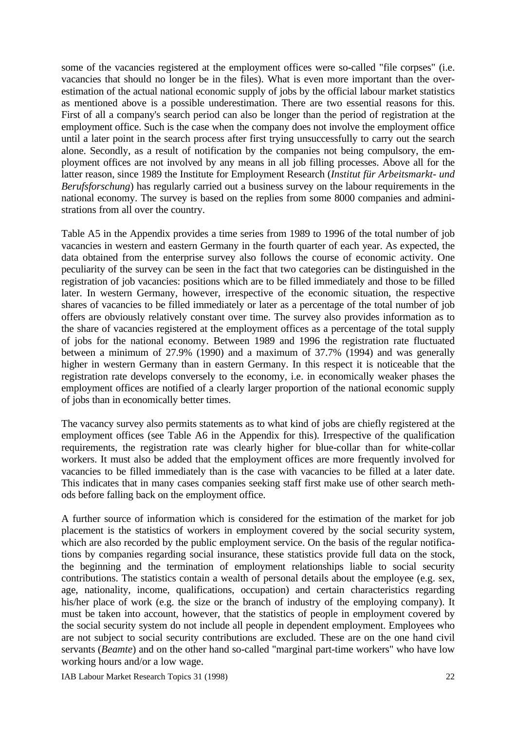some of the vacancies registered at the employment offices were so-called "file corpses" (i.e. vacancies that should no longer be in the files). What is even more important than the overestimation of the actual national economic supply of jobs by the official labour market statistics as mentioned above is a possible underestimation. There are two essential reasons for this. First of all a company's search period can also be longer than the period of registration at the employment office. Such is the case when the company does not involve the employment office until a later point in the search process after first trying unsuccessfully to carry out the search alone. Secondly, as a result of notification by the companies not being compulsory, the employment offices are not involved by any means in all job filling processes. Above all for the latter reason, since 1989 the Institute for Employment Research (*Institut für Arbeitsmarkt- und Berufsforschung*) has regularly carried out a business survey on the labour requirements in the national economy. The survey is based on the replies from some 8000 companies and administrations from all over the country.

Table A5 in the Appendix provides a time series from 1989 to 1996 of the total number of job vacancies in western and eastern Germany in the fourth quarter of each year. As expected, the data obtained from the enterprise survey also follows the course of economic activity. One peculiarity of the survey can be seen in the fact that two categories can be distinguished in the registration of job vacancies: positions which are to be filled immediately and those to be filled later. In western Germany, however, irrespective of the economic situation, the respective shares of vacancies to be filled immediately or later as a percentage of the total number of job offers are obviously relatively constant over time. The survey also provides information as to the share of vacancies registered at the employment offices as a percentage of the total supply of jobs for the national economy. Between 1989 and 1996 the registration rate fluctuated between a minimum of 27.9% (1990) and a maximum of 37.7% (1994) and was generally higher in western Germany than in eastern Germany. In this respect it is noticeable that the registration rate develops conversely to the economy, i.e. in economically weaker phases the employment offices are notified of a clearly larger proportion of the national economic supply of jobs than in economically better times.

The vacancy survey also permits statements as to what kind of jobs are chiefly registered at the employment offices (see Table A6 in the Appendix for this). Irrespective of the qualification requirements, the registration rate was clearly higher for blue-collar than for white-collar workers. It must also be added that the employment offices are more frequently involved for vacancies to be filled immediately than is the case with vacancies to be filled at a later date. This indicates that in many cases companies seeking staff first make use of other search methods before falling back on the employment office.

A further source of information which is considered for the estimation of the market for job placement is the statistics of workers in employment covered by the social security system, which are also recorded by the public employment service. On the basis of the regular notifications by companies regarding social insurance, these statistics provide full data on the stock, the beginning and the termination of employment relationships liable to social security contributions. The statistics contain a wealth of personal details about the employee (e.g. sex, age, nationality, income, qualifications, occupation) and certain characteristics regarding his/her place of work (e.g. the size or the branch of industry of the employing company). It must be taken into account, however, that the statistics of people in employment covered by the social security system do not include all people in dependent employment. Employees who are not subject to social security contributions are excluded. These are on the one hand civil servants (*Beamte*) and on the other hand so-called "marginal part-time workers" who have low working hours and/or a low wage.

IAB Labour Market Research Topics 31 (1998) 22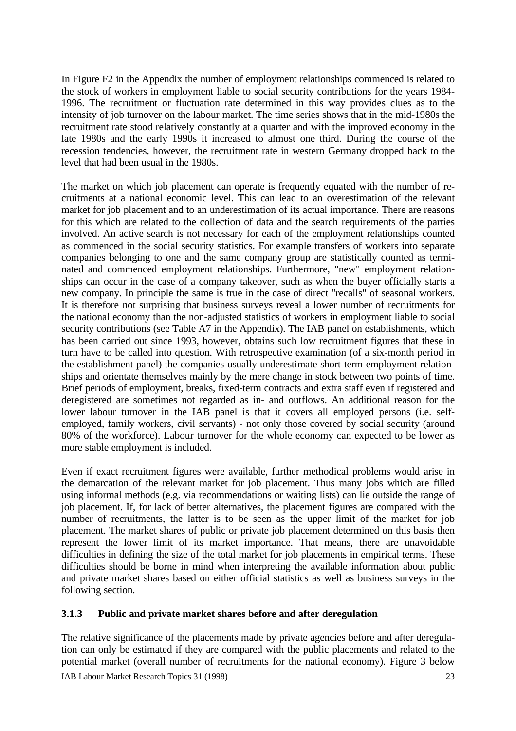In Figure F2 in the Appendix the number of employment relationships commenced is related to the stock of workers in employment liable to social security contributions for the years 1984- 1996. The recruitment or fluctuation rate determined in this way provides clues as to the intensity of job turnover on the labour market. The time series shows that in the mid-1980s the recruitment rate stood relatively constantly at a quarter and with the improved economy in the late 1980s and the early 1990s it increased to almost one third. During the course of the recession tendencies, however, the recruitment rate in western Germany dropped back to the level that had been usual in the 1980s.

The market on which job placement can operate is frequently equated with the number of recruitments at a national economic level. This can lead to an overestimation of the relevant market for job placement and to an underestimation of its actual importance. There are reasons for this which are related to the collection of data and the search requirements of the parties involved. An active search is not necessary for each of the employment relationships counted as commenced in the social security statistics. For example transfers of workers into separate companies belonging to one and the same company group are statistically counted as terminated and commenced employment relationships. Furthermore, "new" employment relationships can occur in the case of a company takeover, such as when the buyer officially starts a new company. In principle the same is true in the case of direct "recalls" of seasonal workers. It is therefore not surprising that business surveys reveal a lower number of recruitments for the national economy than the non-adjusted statistics of workers in employment liable to social security contributions (see Table A7 in the Appendix). The IAB panel on establishments, which has been carried out since 1993, however, obtains such low recruitment figures that these in turn have to be called into question. With retrospective examination (of a six-month period in the establishment panel) the companies usually underestimate short-term employment relationships and orientate themselves mainly by the mere change in stock between two points of time. Brief periods of employment, breaks, fixed-term contracts and extra staff even if registered and deregistered are sometimes not regarded as in- and outflows. An additional reason for the lower labour turnover in the IAB panel is that it covers all employed persons (i.e. selfemployed, family workers, civil servants) - not only those covered by social security (around 80% of the workforce). Labour turnover for the whole economy can expected to be lower as more stable employment is included.

Even if exact recruitment figures were available, further methodical problems would arise in the demarcation of the relevant market for job placement. Thus many jobs which are filled using informal methods (e.g. via recommendations or waiting lists) can lie outside the range of job placement. If, for lack of better alternatives, the placement figures are compared with the number of recruitments, the latter is to be seen as the upper limit of the market for job placement. The market shares of public or private job placement determined on this basis then represent the lower limit of its market importance. That means, there are unavoidable difficulties in defining the size of the total market for job placements in empirical terms. These difficulties should be borne in mind when interpreting the available information about public and private market shares based on either official statistics as well as business surveys in the following section.

### **3.1.3 Public and private market shares before and after deregulation**

The relative significance of the placements made by private agencies before and after deregulation can only be estimated if they are compared with the public placements and related to the potential market (overall number of recruitments for the national economy). Figure 3 below

IAB Labour Market Research Topics 31 (1998) 23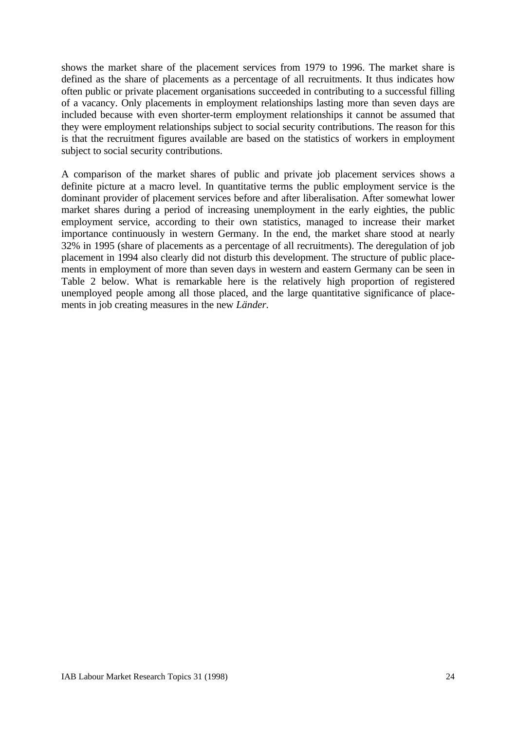shows the market share of the placement services from 1979 to 1996. The market share is defined as the share of placements as a percentage of all recruitments. It thus indicates how often public or private placement organisations succeeded in contributing to a successful filling of a vacancy. Only placements in employment relationships lasting more than seven days are included because with even shorter-term employment relationships it cannot be assumed that they were employment relationships subject to social security contributions. The reason for this is that the recruitment figures available are based on the statistics of workers in employment subject to social security contributions.

A comparison of the market shares of public and private job placement services shows a definite picture at a macro level. In quantitative terms the public employment service is the dominant provider of placement services before and after liberalisation. After somewhat lower market shares during a period of increasing unemployment in the early eighties, the public employment service, according to their own statistics, managed to increase their market importance continuously in western Germany. In the end, the market share stood at nearly 32% in 1995 (share of placements as a percentage of all recruitments). The deregulation of job placement in 1994 also clearly did not disturb this development. The structure of public placements in employment of more than seven days in western and eastern Germany can be seen in Table 2 below. What is remarkable here is the relatively high proportion of registered unemployed people among all those placed, and the large quantitative significance of placements in job creating measures in the new *Länder.*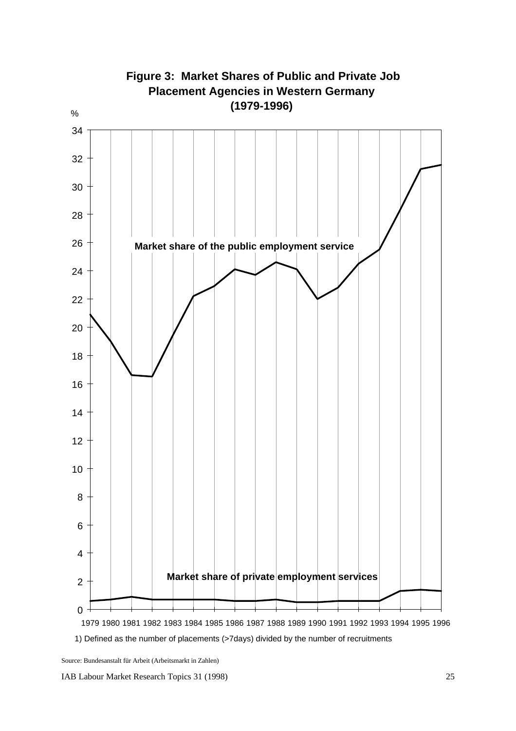

 1980 1981 1982 1983 1984 1985 1986 1987 1988 1989 1990 1991 1992 1993 1994 1995 1996 1) Defined as the number of placements (>7days) divided by the number of recruitments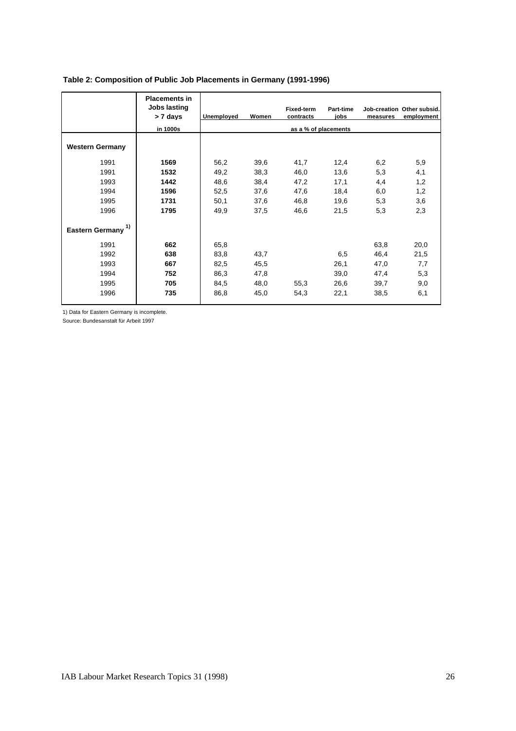|                              | <b>Placements in</b><br>Jobs lasting<br>> 7 days<br>in 1000s | Unemployed | Women | <b>Fixed-term</b><br>contracts<br>as a % of placements | Part-time<br>iobs | measures | Job-creation Other subsid.<br>employment |
|------------------------------|--------------------------------------------------------------|------------|-------|--------------------------------------------------------|-------------------|----------|------------------------------------------|
| <b>Western Germany</b>       |                                                              |            |       |                                                        |                   |          |                                          |
| 1991                         | 1569                                                         | 56,2       | 39,6  | 41,7                                                   | 12,4              | 6,2      | 5,9                                      |
| 1991                         | 1532                                                         | 49,2       | 38,3  | 46,0                                                   | 13,6              | 5,3      | 4,1                                      |
| 1993                         | 1442                                                         | 48,6       | 38,4  | 47,2                                                   | 17,1              | 4,4      | 1,2                                      |
| 1994                         | 1596                                                         | 52,5       | 37,6  | 47,6                                                   | 18,4              | 6,0      | 1,2                                      |
| 1995                         | 1731                                                         | 50,1       | 37,6  | 46,8                                                   | 19,6              | 5,3      | 3,6                                      |
| 1996                         | 1795                                                         | 49,9       | 37,5  | 46,6                                                   | 21,5              | 5,3      | 2,3                                      |
| 1)<br><b>Eastern Germany</b> |                                                              |            |       |                                                        |                   |          |                                          |
| 1991                         | 662                                                          | 65,8       |       |                                                        |                   | 63,8     | 20,0                                     |
| 1992                         | 638                                                          | 83,8       | 43,7  |                                                        | 6,5               | 46,4     | 21,5                                     |
| 1993                         | 667                                                          | 82,5       | 45,5  |                                                        | 26,1              | 47,0     | 7,7                                      |
| 1994                         | 752                                                          | 86,3       | 47,8  |                                                        | 39,0              | 47,4     | 5,3                                      |
| 1995                         | 705                                                          | 84,5       | 48,0  | 55,3                                                   | 26,6              | 39,7     | 9,0                                      |
| 1996                         | 735                                                          | 86,8       | 45,0  | 54,3                                                   | 22,1              | 38,5     | 6,1                                      |

#### **Table 2: Composition of Public Job Placements in Germany (1991-1996)**

1) Data for Eastern Germany is incomplete.

Source: Bundesanstalt für Arbeit 1997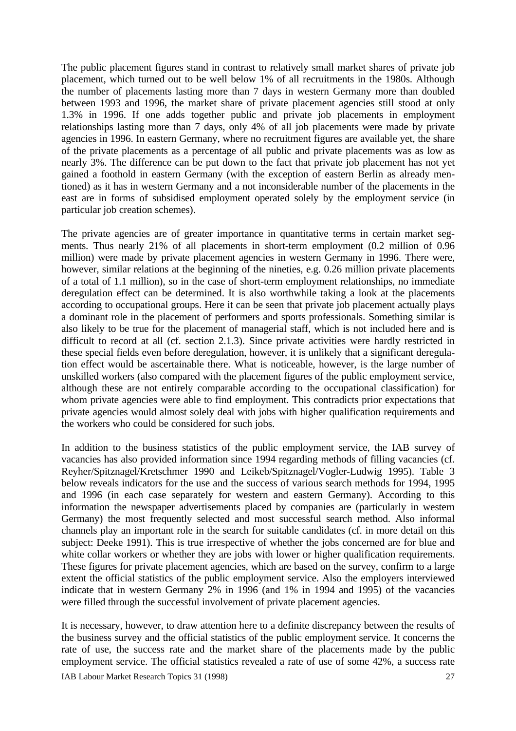The public placement figures stand in contrast to relatively small market shares of private job placement, which turned out to be well below 1% of all recruitments in the 1980s. Although the number of placements lasting more than 7 days in western Germany more than doubled between 1993 and 1996, the market share of private placement agencies still stood at only 1.3% in 1996. If one adds together public and private job placements in employment relationships lasting more than 7 days, only 4% of all job placements were made by private agencies in 1996. In eastern Germany, where no recruitment figures are available yet, the share of the private placements as a percentage of all public and private placements was as low as nearly 3%. The difference can be put down to the fact that private job placement has not yet gained a foothold in eastern Germany (with the exception of eastern Berlin as already mentioned) as it has in western Germany and a not inconsiderable number of the placements in the east are in forms of subsidised employment operated solely by the employment service (in particular job creation schemes).

The private agencies are of greater importance in quantitative terms in certain market segments. Thus nearly 21% of all placements in short-term employment (0.2 million of 0.96 million) were made by private placement agencies in western Germany in 1996. There were, however, similar relations at the beginning of the nineties, e.g. 0.26 million private placements of a total of 1.1 million), so in the case of short-term employment relationships, no immediate deregulation effect can be determined. It is also worthwhile taking a look at the placements according to occupational groups. Here it can be seen that private job placement actually plays a dominant role in the placement of performers and sports professionals. Something similar is also likely to be true for the placement of managerial staff, which is not included here and is difficult to record at all (cf. section 2.1.3). Since private activities were hardly restricted in these special fields even before deregulation, however, it is unlikely that a significant deregulation effect would be ascertainable there. What is noticeable, however, is the large number of unskilled workers (also compared with the placement figures of the public employment service, although these are not entirely comparable according to the occupational classification) for whom private agencies were able to find employment. This contradicts prior expectations that private agencies would almost solely deal with jobs with higher qualification requirements and the workers who could be considered for such jobs.

In addition to the business statistics of the public employment service, the IAB survey of vacancies has also provided information since 1994 regarding methods of filling vacancies (cf. Reyher/Spitznagel/Kretschmer 1990 and Leikeb/Spitznagel/Vogler-Ludwig 1995). Table 3 below reveals indicators for the use and the success of various search methods for 1994, 1995 and 1996 (in each case separately for western and eastern Germany). According to this information the newspaper advertisements placed by companies are (particularly in western Germany) the most frequently selected and most successful search method. Also informal channels play an important role in the search for suitable candidates (cf. in more detail on this subject: Deeke 1991). This is true irrespective of whether the jobs concerned are for blue and white collar workers or whether they are jobs with lower or higher qualification requirements. These figures for private placement agencies, which are based on the survey, confirm to a large extent the official statistics of the public employment service. Also the employers interviewed indicate that in western Germany 2% in 1996 (and 1% in 1994 and 1995) of the vacancies were filled through the successful involvement of private placement agencies.

It is necessary, however, to draw attention here to a definite discrepancy between the results of the business survey and the official statistics of the public employment service. It concerns the rate of use, the success rate and the market share of the placements made by the public employment service. The official statistics revealed a rate of use of some 42%, a success rate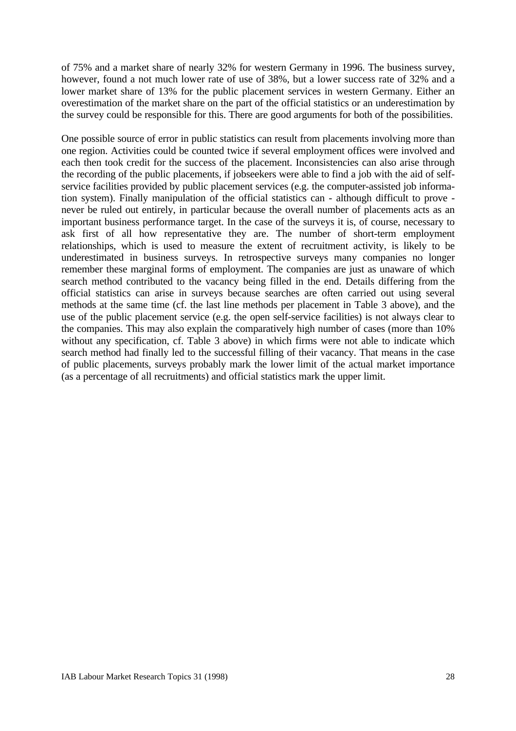of 75% and a market share of nearly 32% for western Germany in 1996. The business survey, however, found a not much lower rate of use of 38%, but a lower success rate of 32% and a lower market share of 13% for the public placement services in western Germany. Either an overestimation of the market share on the part of the official statistics or an underestimation by the survey could be responsible for this. There are good arguments for both of the possibilities.

One possible source of error in public statistics can result from placements involving more than one region. Activities could be counted twice if several employment offices were involved and each then took credit for the success of the placement. Inconsistencies can also arise through the recording of the public placements, if jobseekers were able to find a job with the aid of selfservice facilities provided by public placement services (e.g. the computer-assisted job information system). Finally manipulation of the official statistics can - although difficult to prove never be ruled out entirely, in particular because the overall number of placements acts as an important business performance target. In the case of the surveys it is, of course, necessary to ask first of all how representative they are. The number of short-term employment relationships, which is used to measure the extent of recruitment activity, is likely to be underestimated in business surveys. In retrospective surveys many companies no longer remember these marginal forms of employment. The companies are just as unaware of which search method contributed to the vacancy being filled in the end. Details differing from the official statistics can arise in surveys because searches are often carried out using several methods at the same time (cf. the last line methods per placement in Table 3 above), and the use of the public placement service (e.g. the open self-service facilities) is not always clear to the companies. This may also explain the comparatively high number of cases (more than 10% without any specification, cf. Table 3 above) in which firms were not able to indicate which search method had finally led to the successful filling of their vacancy. That means in the case of public placements, surveys probably mark the lower limit of the actual market importance (as a percentage of all recruitments) and official statistics mark the upper limit.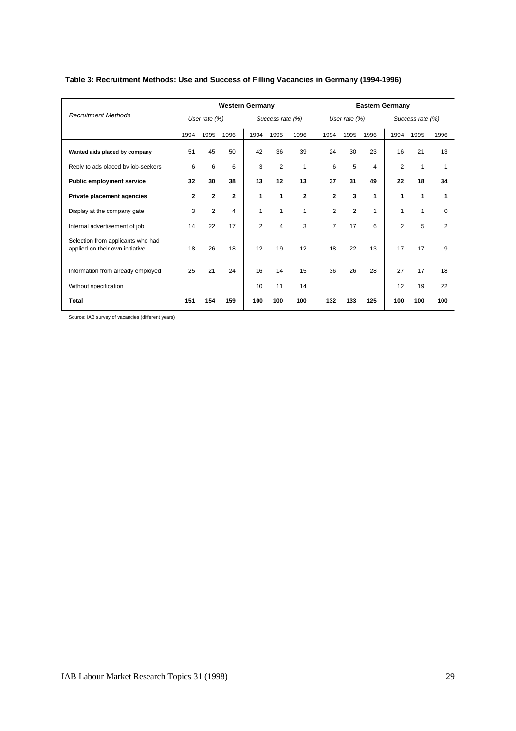|                                                                      |              |                 | <b>Western Germany</b> |                |                  |              |                |                 | <b>Eastern Germany</b> |                |                  |      |
|----------------------------------------------------------------------|--------------|-----------------|------------------------|----------------|------------------|--------------|----------------|-----------------|------------------------|----------------|------------------|------|
| <b>Recruitment Methods</b>                                           |              | User rate $(%)$ |                        |                | Success rate (%) |              |                | User rate $(%)$ |                        |                | Success rate (%) |      |
|                                                                      | 1994         | 1995            | 1996                   | 1994           | 1995             | 1996         | 1994           | 1995            | 1996                   | 1994           | 1995             | 1996 |
| Wanted aids placed by company                                        | 51           | 45              | 50                     | 42             | 36               | 39           | 24             | 30              | 23                     | 16             | 21               | 13   |
| Reply to ads placed by job-seekers                                   | 6            | 6               | 6                      | 3              | $\overline{2}$   | 1            | 6              | 5               | 4                      | 2              | 1                | 1    |
| <b>Public employment service</b>                                     | 32           | 30              | 38                     | 13             | 12               | 13           | 37             | 31              | 49                     | 22             | 18               | 34   |
| <b>Private placement agencies</b>                                    | $\mathbf{2}$ | $\mathbf{2}$    | $\mathbf{2}$           | 1              | 1                | $\mathbf{2}$ | $\mathbf{2}$   | 3               | 1                      | 1              | 1                | 1    |
| Display at the company gate                                          | 3            | $\overline{2}$  | 4                      | 1              | 1                | 1            | $\overline{2}$ | 2               | 1                      | 1              | 1                | 0    |
| Internal advertisement of job                                        | 14           | 22              | 17                     | $\overline{2}$ | 4                | 3            | $\overline{7}$ | 17              | 6                      | $\overline{2}$ | 5                | 2    |
| Selection from applicants who had<br>applied on their own initiative | 18           | 26              | 18                     | 12             | 19               | 12           | 18             | 22              | 13                     | 17             | 17               | 9    |
| Information from already employed                                    | 25           | 21              | 24                     | 16             | 14               | 15           | 36             | 26              | 28                     | 27             | 17               | 18   |
| Without specification                                                |              |                 |                        | 10             | 11               | 14           |                |                 |                        | 12             | 19               | 22   |
| Total                                                                | 151          | 154             | 159                    | 100            | 100              | 100          | 132            | 133             | 125                    | 100            | 100              | 100  |

#### **Table 3: Recruitment Methods: Use and Success of Filling Vacancies in Germany (1994-1996)**

Source: IAB survey of vacancies (different years)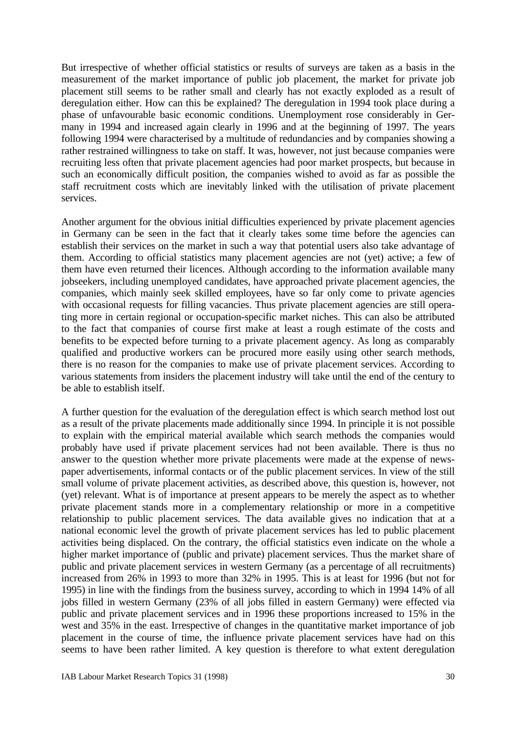But irrespective of whether official statistics or results of surveys are taken as a basis in the measurement of the market importance of public job placement, the market for private job placement still seems to be rather small and clearly has not exactly exploded as a result of deregulation either. How can this be explained? The deregulation in 1994 took place during a phase of unfavourable basic economic conditions. Unemployment rose considerably in Germany in 1994 and increased again clearly in 1996 and at the beginning of 1997. The years following 1994 were characterised by a multitude of redundancies and by companies showing a rather restrained willingness to take on staff. It was, however, not just because companies were recruiting less often that private placement agencies had poor market prospects, but because in such an economically difficult position, the companies wished to avoid as far as possible the staff recruitment costs which are inevitably linked with the utilisation of private placement services.

Another argument for the obvious initial difficulties experienced by private placement agencies in Germany can be seen in the fact that it clearly takes some time before the agencies can establish their services on the market in such a way that potential users also take advantage of them. According to official statistics many placement agencies are not (yet) active; a few of them have even returned their licences. Although according to the information available many jobseekers, including unemployed candidates, have approached private placement agencies, the companies, which mainly seek skilled employees, have so far only come to private agencies with occasional requests for filling vacancies. Thus private placement agencies are still operating more in certain regional or occupation-specific market niches. This can also be attributed to the fact that companies of course first make at least a rough estimate of the costs and benefits to be expected before turning to a private placement agency. As long as comparably qualified and productive workers can be procured more easily using other search methods, there is no reason for the companies to make use of private placement services. According to various statements from insiders the placement industry will take until the end of the century to be able to establish itself.

A further question for the evaluation of the deregulation effect is which search method lost out as a result of the private placements made additionally since 1994. In principle it is not possible to explain with the empirical material available which search methods the companies would probably have used if private placement services had not been available. There is thus no answer to the question whether more private placements were made at the expense of newspaper advertisements, informal contacts or of the public placement services. In view of the still small volume of private placement activities, as described above, this question is, however, not (yet) relevant. What is of importance at present appears to be merely the aspect as to whether private placement stands more in a complementary relationship or more in a competitive relationship to public placement services. The data available gives no indication that at a national economic level the growth of private placement services has led to public placement activities being displaced. On the contrary, the official statistics even indicate on the whole a higher market importance of (public and private) placement services. Thus the market share of public and private placement services in western Germany (as a percentage of all recruitments) increased from 26% in 1993 to more than 32% in 1995. This is at least for 1996 (but not for 1995) in line with the findings from the business survey, according to which in 1994 14% of all jobs filled in western Germany (23% of all jobs filled in eastern Germany) were effected via public and private placement services and in 1996 these proportions increased to 15% in the west and 35% in the east. Irrespective of changes in the quantitative market importance of job placement in the course of time, the influence private placement services have had on this seems to have been rather limited. A key question is therefore to what extent deregulation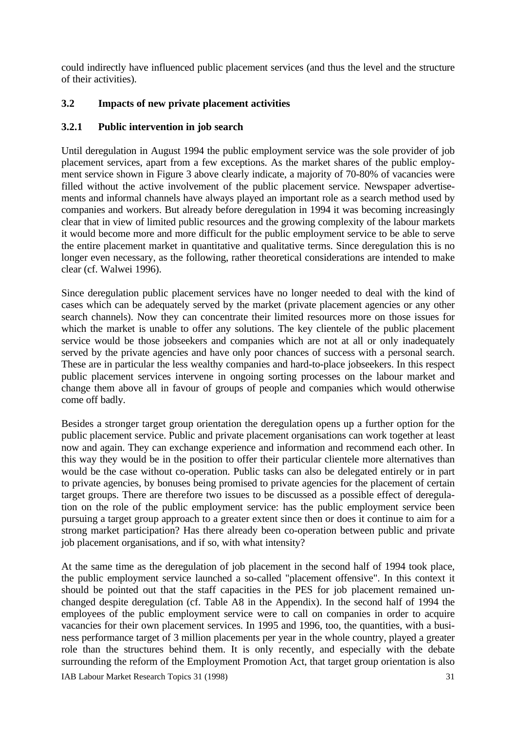could indirectly have influenced public placement services (and thus the level and the structure of their activities).

### **3.2 Impacts of new private placement activities**

### **3.2.1 Public intervention in job search**

Until deregulation in August 1994 the public employment service was the sole provider of job placement services, apart from a few exceptions. As the market shares of the public employment service shown in Figure 3 above clearly indicate, a majority of 70-80% of vacancies were filled without the active involvement of the public placement service. Newspaper advertisements and informal channels have always played an important role as a search method used by companies and workers. But already before deregulation in 1994 it was becoming increasingly clear that in view of limited public resources and the growing complexity of the labour markets it would become more and more difficult for the public employment service to be able to serve the entire placement market in quantitative and qualitative terms. Since deregulation this is no longer even necessary, as the following, rather theoretical considerations are intended to make clear (cf. Walwei 1996).

Since deregulation public placement services have no longer needed to deal with the kind of cases which can be adequately served by the market (private placement agencies or any other search channels). Now they can concentrate their limited resources more on those issues for which the market is unable to offer any solutions. The key clientele of the public placement service would be those jobseekers and companies which are not at all or only inadequately served by the private agencies and have only poor chances of success with a personal search. These are in particular the less wealthy companies and hard-to-place jobseekers. In this respect public placement services intervene in ongoing sorting processes on the labour market and change them above all in favour of groups of people and companies which would otherwise come off badly.

Besides a stronger target group orientation the deregulation opens up a further option for the public placement service. Public and private placement organisations can work together at least now and again. They can exchange experience and information and recommend each other. In this way they would be in the position to offer their particular clientele more alternatives than would be the case without co-operation. Public tasks can also be delegated entirely or in part to private agencies, by bonuses being promised to private agencies for the placement of certain target groups. There are therefore two issues to be discussed as a possible effect of deregulation on the role of the public employment service: has the public employment service been pursuing a target group approach to a greater extent since then or does it continue to aim for a strong market participation? Has there already been co-operation between public and private job placement organisations, and if so, with what intensity?

At the same time as the deregulation of job placement in the second half of 1994 took place, the public employment service launched a so-called "placement offensive". In this context it should be pointed out that the staff capacities in the PES for job placement remained unchanged despite deregulation (cf. Table A8 in the Appendix). In the second half of 1994 the employees of the public employment service were to call on companies in order to acquire vacancies for their own placement services. In 1995 and 1996, too, the quantities, with a business performance target of 3 million placements per year in the whole country, played a greater role than the structures behind them. It is only recently, and especially with the debate surrounding the reform of the Employment Promotion Act, that target group orientation is also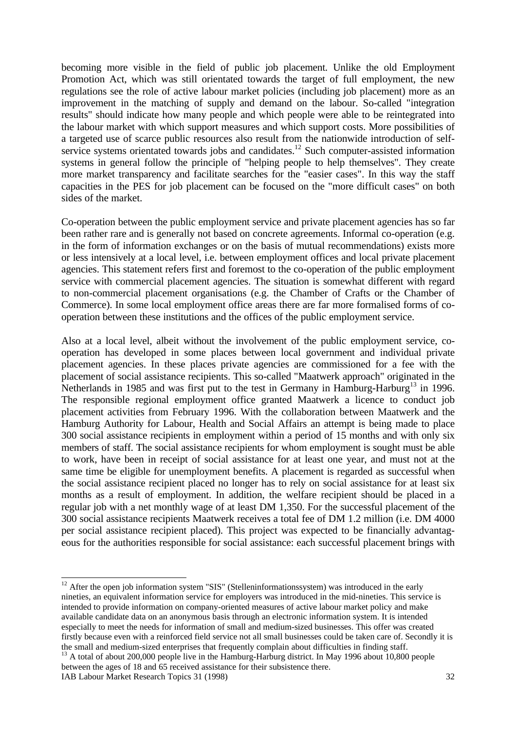becoming more visible in the field of public job placement. Unlike the old Employment Promotion Act, which was still orientated towards the target of full employment, the new regulations see the role of active labour market policies (including job placement) more as an improvement in the matching of supply and demand on the labour. So-called "integration results" should indicate how many people and which people were able to be reintegrated into the labour market with which support measures and which support costs. More possibilities of a targeted use of scarce public resources also result from the nationwide introduction of selfservice systems orientated towards jobs and candidates.<sup>12</sup> Such computer-assisted information systems in general follow the principle of "helping people to help themselves". They create more market transparency and facilitate searches for the "easier cases". In this way the staff capacities in the PES for job placement can be focused on the "more difficult cases" on both sides of the market.

Co-operation between the public employment service and private placement agencies has so far been rather rare and is generally not based on concrete agreements. Informal co-operation (e.g. in the form of information exchanges or on the basis of mutual recommendations) exists more or less intensively at a local level, i.e. between employment offices and local private placement agencies. This statement refers first and foremost to the co-operation of the public employment service with commercial placement agencies. The situation is somewhat different with regard to non-commercial placement organisations (e.g. the Chamber of Crafts or the Chamber of Commerce). In some local employment office areas there are far more formalised forms of cooperation between these institutions and the offices of the public employment service.

Also at a local level, albeit without the involvement of the public employment service, cooperation has developed in some places between local government and individual private placement agencies. In these places private agencies are commissioned for a fee with the placement of social assistance recipients. This so-called "Maatwerk approach" originated in the Netherlands in 1985 and was first put to the test in Germany in Hamburg-Harburg<sup>13</sup> in 1996. The responsible regional employment office granted Maatwerk a licence to conduct job placement activities from February 1996. With the collaboration between Maatwerk and the Hamburg Authority for Labour, Health and Social Affairs an attempt is being made to place 300 social assistance recipients in employment within a period of 15 months and with only six members of staff. The social assistance recipients for whom employment is sought must be able to work, have been in receipt of social assistance for at least one year, and must not at the same time be eligible for unemployment benefits. A placement is regarded as successful when the social assistance recipient placed no longer has to rely on social assistance for at least six months as a result of employment. In addition, the welfare recipient should be placed in a regular job with a net monthly wage of at least DM 1,350. For the successful placement of the 300 social assistance recipients Maatwerk receives a total fee of DM 1.2 million (i.e. DM 4000 per social assistance recipient placed). This project was expected to be financially advantageous for the authorities responsible for social assistance: each successful placement brings with

-

 $12$  After the open job information system "SIS" (Stelleninformationssystem) was introduced in the early nineties, an equivalent information service for employers was introduced in the mid-nineties. This service is intended to provide information on company-oriented measures of active labour market policy and make available candidate data on an anonymous basis through an electronic information system. It is intended especially to meet the needs for information of small and medium-sized businesses. This offer was created firstly because even with a reinforced field service not all small businesses could be taken care of. Secondly it is the small and medium-sized enterprises that frequently complain about difficulties in finding staff.

<sup>&</sup>lt;sup>13</sup> A total of about 200,000 people live in the Hamburg-Harburg district. In May 1996 about 10,800 people between the ages of 18 and 65 received assistance for their subsistence there.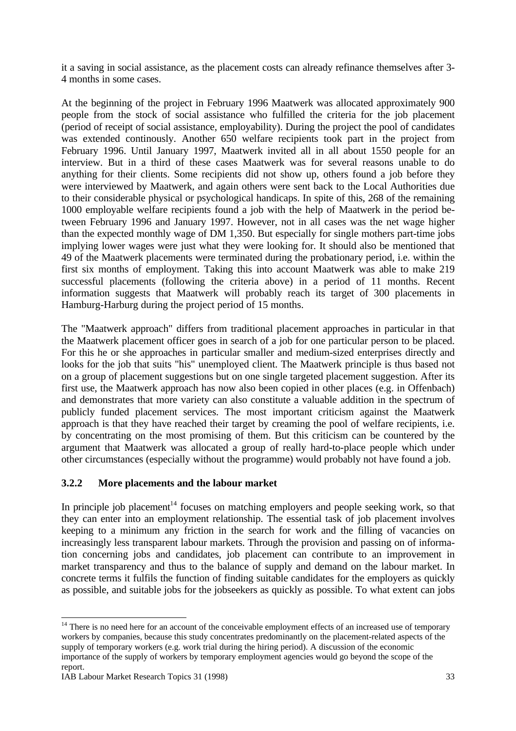it a saving in social assistance, as the placement costs can already refinance themselves after 3- 4 months in some cases.

At the beginning of the project in February 1996 Maatwerk was allocated approximately 900 people from the stock of social assistance who fulfilled the criteria for the job placement (period of receipt of social assistance, employability). During the project the pool of candidates was extended continously. Another 650 welfare recipients took part in the project from February 1996. Until January 1997, Maatwerk invited all in all about 1550 people for an interview. But in a third of these cases Maatwerk was for several reasons unable to do anything for their clients. Some recipients did not show up, others found a job before they were interviewed by Maatwerk, and again others were sent back to the Local Authorities due to their considerable physical or psychological handicaps. In spite of this, 268 of the remaining 1000 employable welfare recipients found a job with the help of Maatwerk in the period between February 1996 and January 1997. However, not in all cases was the net wage higher than the expected monthly wage of DM 1,350. But especially for single mothers part-time jobs implying lower wages were just what they were looking for. It should also be mentioned that 49 of the Maatwerk placements were terminated during the probationary period, i.e. within the first six months of employment. Taking this into account Maatwerk was able to make 219 successful placements (following the criteria above) in a period of 11 months. Recent information suggests that Maatwerk will probably reach its target of 300 placements in Hamburg-Harburg during the project period of 15 months.

The "Maatwerk approach" differs from traditional placement approaches in particular in that the Maatwerk placement officer goes in search of a job for one particular person to be placed. For this he or she approaches in particular smaller and medium-sized enterprises directly and looks for the job that suits "his" unemployed client. The Maatwerk principle is thus based not on a group of placement suggestions but on one single targeted placement suggestion. After its first use, the Maatwerk approach has now also been copied in other places (e.g. in Offenbach) and demonstrates that more variety can also constitute a valuable addition in the spectrum of publicly funded placement services. The most important criticism against the Maatwerk approach is that they have reached their target by creaming the pool of welfare recipients, i.e. by concentrating on the most promising of them. But this criticism can be countered by the argument that Maatwerk was allocated a group of really hard-to-place people which under other circumstances (especially without the programme) would probably not have found a job.

### **3.2.2 More placements and the labour market**

In principle job placement<sup>14</sup> focuses on matching employers and people seeking work, so that they can enter into an employment relationship. The essential task of job placement involves keeping to a minimum any friction in the search for work and the filling of vacancies on increasingly less transparent labour markets. Through the provision and passing on of information concerning jobs and candidates, job placement can contribute to an improvement in market transparency and thus to the balance of supply and demand on the labour market. In concrete terms it fulfils the function of finding suitable candidates for the employers as quickly as possible, and suitable jobs for the jobseekers as quickly as possible. To what extent can jobs

<sup>-</sup><sup>14</sup> There is no need here for an account of the conceivable employment effects of an increased use of temporary workers by companies, because this study concentrates predominantly on the placement-related aspects of the supply of temporary workers (e.g. work trial during the hiring period). A discussion of the economic importance of the supply of workers by temporary employment agencies would go beyond the scope of the report.

IAB Labour Market Research Topics 31 (1998) 33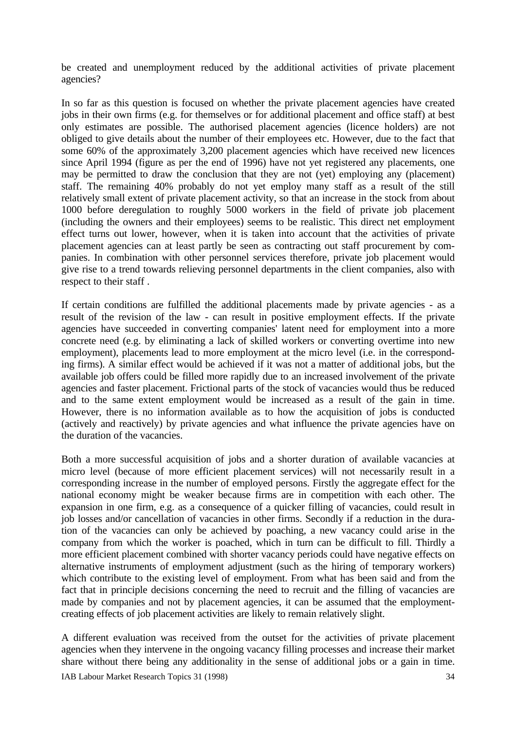be created and unemployment reduced by the additional activities of private placement agencies?

In so far as this question is focused on whether the private placement agencies have created jobs in their own firms (e.g. for themselves or for additional placement and office staff) at best only estimates are possible. The authorised placement agencies (licence holders) are not obliged to give details about the number of their employees etc. However, due to the fact that some 60% of the approximately 3,200 placement agencies which have received new licences since April 1994 (figure as per the end of 1996) have not yet registered any placements, one may be permitted to draw the conclusion that they are not (yet) employing any (placement) staff. The remaining 40% probably do not yet employ many staff as a result of the still relatively small extent of private placement activity, so that an increase in the stock from about 1000 before deregulation to roughly 5000 workers in the field of private job placement (including the owners and their employees) seems to be realistic. This direct net employment effect turns out lower, however, when it is taken into account that the activities of private placement agencies can at least partly be seen as contracting out staff procurement by companies. In combination with other personnel services therefore, private job placement would give rise to a trend towards relieving personnel departments in the client companies, also with respect to their staff .

If certain conditions are fulfilled the additional placements made by private agencies - as a result of the revision of the law - can result in positive employment effects. If the private agencies have succeeded in converting companies' latent need for employment into a more concrete need (e.g. by eliminating a lack of skilled workers or converting overtime into new employment), placements lead to more employment at the micro level (i.e. in the corresponding firms). A similar effect would be achieved if it was not a matter of additional jobs, but the available job offers could be filled more rapidly due to an increased involvement of the private agencies and faster placement. Frictional parts of the stock of vacancies would thus be reduced and to the same extent employment would be increased as a result of the gain in time. However, there is no information available as to how the acquisition of jobs is conducted (actively and reactively) by private agencies and what influence the private agencies have on the duration of the vacancies.

Both a more successful acquisition of jobs and a shorter duration of available vacancies at micro level (because of more efficient placement services) will not necessarily result in a corresponding increase in the number of employed persons. Firstly the aggregate effect for the national economy might be weaker because firms are in competition with each other. The expansion in one firm, e.g. as a consequence of a quicker filling of vacancies, could result in job losses and/or cancellation of vacancies in other firms. Secondly if a reduction in the duration of the vacancies can only be achieved by poaching, a new vacancy could arise in the company from which the worker is poached, which in turn can be difficult to fill. Thirdly a more efficient placement combined with shorter vacancy periods could have negative effects on alternative instruments of employment adjustment (such as the hiring of temporary workers) which contribute to the existing level of employment. From what has been said and from the fact that in principle decisions concerning the need to recruit and the filling of vacancies are made by companies and not by placement agencies, it can be assumed that the employmentcreating effects of job placement activities are likely to remain relatively slight.

A different evaluation was received from the outset for the activities of private placement agencies when they intervene in the ongoing vacancy filling processes and increase their market share without there being any additionality in the sense of additional jobs or a gain in time.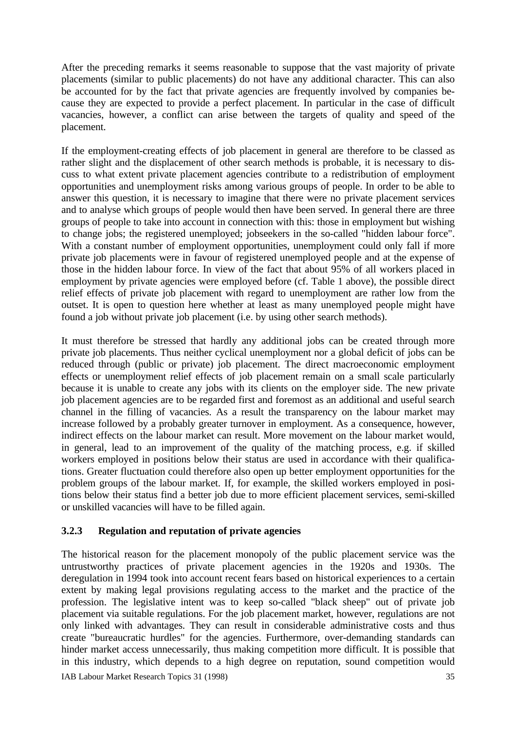After the preceding remarks it seems reasonable to suppose that the vast majority of private placements (similar to public placements) do not have any additional character. This can also be accounted for by the fact that private agencies are frequently involved by companies because they are expected to provide a perfect placement. In particular in the case of difficult vacancies, however, a conflict can arise between the targets of quality and speed of the placement.

If the employment-creating effects of job placement in general are therefore to be classed as rather slight and the displacement of other search methods is probable, it is necessary to discuss to what extent private placement agencies contribute to a redistribution of employment opportunities and unemployment risks among various groups of people. In order to be able to answer this question, it is necessary to imagine that there were no private placement services and to analyse which groups of people would then have been served. In general there are three groups of people to take into account in connection with this: those in employment but wishing to change jobs; the registered unemployed; jobseekers in the so-called "hidden labour force". With a constant number of employment opportunities, unemployment could only fall if more private job placements were in favour of registered unemployed people and at the expense of those in the hidden labour force. In view of the fact that about 95% of all workers placed in employment by private agencies were employed before (cf. Table 1 above), the possible direct relief effects of private job placement with regard to unemployment are rather low from the outset. It is open to question here whether at least as many unemployed people might have found a job without private job placement (i.e. by using other search methods).

It must therefore be stressed that hardly any additional jobs can be created through more private job placements. Thus neither cyclical unemployment nor a global deficit of jobs can be reduced through (public or private) job placement. The direct macroeconomic employment effects or unemployment relief effects of job placement remain on a small scale particularly because it is unable to create any jobs with its clients on the employer side. The new private job placement agencies are to be regarded first and foremost as an additional and useful search channel in the filling of vacancies. As a result the transparency on the labour market may increase followed by a probably greater turnover in employment. As a consequence, however, indirect effects on the labour market can result. More movement on the labour market would, in general, lead to an improvement of the quality of the matching process, e.g. if skilled workers employed in positions below their status are used in accordance with their qualifications. Greater fluctuation could therefore also open up better employment opportunities for the problem groups of the labour market. If, for example, the skilled workers employed in positions below their status find a better job due to more efficient placement services, semi-skilled or unskilled vacancies will have to be filled again.

### **3.2.3 Regulation and reputation of private agencies**

The historical reason for the placement monopoly of the public placement service was the untrustworthy practices of private placement agencies in the 1920s and 1930s. The deregulation in 1994 took into account recent fears based on historical experiences to a certain extent by making legal provisions regulating access to the market and the practice of the profession. The legislative intent was to keep so-called "black sheep" out of private job placement via suitable regulations. For the job placement market, however, regulations are not only linked with advantages. They can result in considerable administrative costs and thus create "bureaucratic hurdles" for the agencies. Furthermore, over-demanding standards can hinder market access unnecessarily, thus making competition more difficult. It is possible that in this industry, which depends to a high degree on reputation, sound competition would

IAB Labour Market Research Topics 31 (1998) 35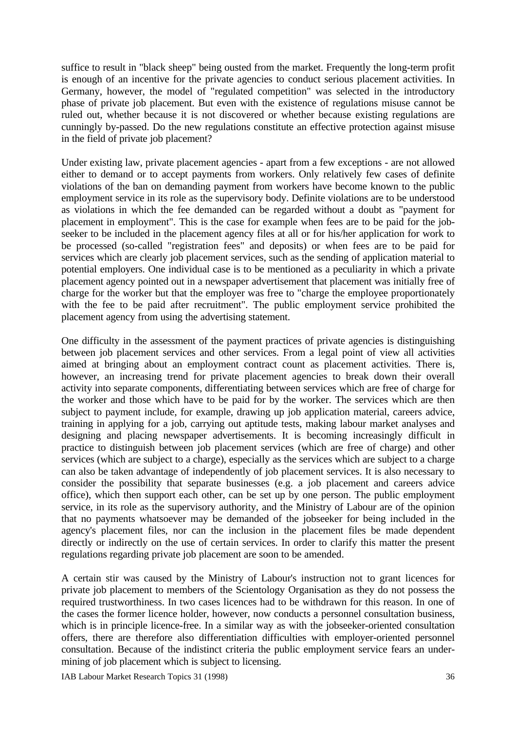suffice to result in "black sheep" being ousted from the market. Frequently the long-term profit is enough of an incentive for the private agencies to conduct serious placement activities. In Germany, however, the model of "regulated competition" was selected in the introductory phase of private job placement. But even with the existence of regulations misuse cannot be ruled out, whether because it is not discovered or whether because existing regulations are cunningly by-passed. Do the new regulations constitute an effective protection against misuse in the field of private job placement?

Under existing law, private placement agencies - apart from a few exceptions - are not allowed either to demand or to accept payments from workers. Only relatively few cases of definite violations of the ban on demanding payment from workers have become known to the public employment service in its role as the supervisory body. Definite violations are to be understood as violations in which the fee demanded can be regarded without a doubt as "payment for placement in employment". This is the case for example when fees are to be paid for the jobseeker to be included in the placement agency files at all or for his/her application for work to be processed (so-called "registration fees" and deposits) or when fees are to be paid for services which are clearly job placement services, such as the sending of application material to potential employers. One individual case is to be mentioned as a peculiarity in which a private placement agency pointed out in a newspaper advertisement that placement was initially free of charge for the worker but that the employer was free to "charge the employee proportionately with the fee to be paid after recruitment". The public employment service prohibited the placement agency from using the advertising statement.

One difficulty in the assessment of the payment practices of private agencies is distinguishing between job placement services and other services. From a legal point of view all activities aimed at bringing about an employment contract count as placement activities. There is, however, an increasing trend for private placement agencies to break down their overall activity into separate components, differentiating between services which are free of charge for the worker and those which have to be paid for by the worker. The services which are then subject to payment include, for example, drawing up job application material, careers advice, training in applying for a job, carrying out aptitude tests, making labour market analyses and designing and placing newspaper advertisements. It is becoming increasingly difficult in practice to distinguish between job placement services (which are free of charge) and other services (which are subject to a charge), especially as the services which are subject to a charge can also be taken advantage of independently of job placement services. It is also necessary to consider the possibility that separate businesses (e.g. a job placement and careers advice office), which then support each other, can be set up by one person. The public employment service, in its role as the supervisory authority, and the Ministry of Labour are of the opinion that no payments whatsoever may be demanded of the jobseeker for being included in the agency's placement files, nor can the inclusion in the placement files be made dependent directly or indirectly on the use of certain services. In order to clarify this matter the present regulations regarding private job placement are soon to be amended.

A certain stir was caused by the Ministry of Labour's instruction not to grant licences for private job placement to members of the Scientology Organisation as they do not possess the required trustworthiness. In two cases licences had to be withdrawn for this reason. In one of the cases the former licence holder, however, now conducts a personnel consultation business, which is in principle licence-free. In a similar way as with the jobseeker-oriented consultation offers, there are therefore also differentiation difficulties with employer-oriented personnel consultation. Because of the indistinct criteria the public employment service fears an undermining of job placement which is subject to licensing.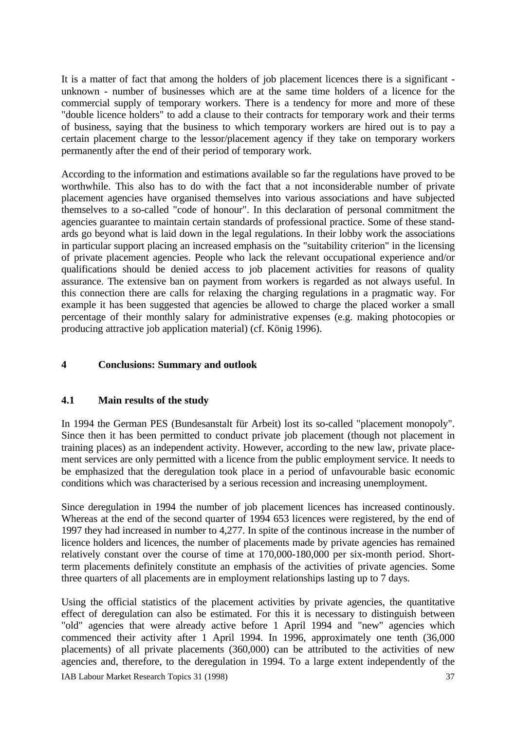It is a matter of fact that among the holders of job placement licences there is a significant unknown - number of businesses which are at the same time holders of a licence for the commercial supply of temporary workers. There is a tendency for more and more of these "double licence holders" to add a clause to their contracts for temporary work and their terms of business, saying that the business to which temporary workers are hired out is to pay a certain placement charge to the lessor/placement agency if they take on temporary workers permanently after the end of their period of temporary work.

According to the information and estimations available so far the regulations have proved to be worthwhile. This also has to do with the fact that a not inconsiderable number of private placement agencies have organised themselves into various associations and have subjected themselves to a so-called "code of honour". In this declaration of personal commitment the agencies guarantee to maintain certain standards of professional practice. Some of these standards go beyond what is laid down in the legal regulations. In their lobby work the associations in particular support placing an increased emphasis on the "suitability criterion" in the licensing of private placement agencies. People who lack the relevant occupational experience and/or qualifications should be denied access to job placement activities for reasons of quality assurance. The extensive ban on payment from workers is regarded as not always useful. In this connection there are calls for relaxing the charging regulations in a pragmatic way. For example it has been suggested that agencies be allowed to charge the placed worker a small percentage of their monthly salary for administrative expenses (e.g. making photocopies or producing attractive job application material) (cf. König 1996).

### **4 Conclusions: Summary and outlook**

### **4.1 Main results of the study**

In 1994 the German PES (Bundesanstalt für Arbeit) lost its so-called "placement monopoly". Since then it has been permitted to conduct private job placement (though not placement in training places) as an independent activity. However, according to the new law, private placement services are only permitted with a licence from the public employment service. It needs to be emphasized that the deregulation took place in a period of unfavourable basic economic conditions which was characterised by a serious recession and increasing unemployment.

Since deregulation in 1994 the number of job placement licences has increased continously. Whereas at the end of the second quarter of 1994 653 licences were registered, by the end of 1997 they had increased in number to 4,277. In spite of the continous increase in the number of licence holders and licences, the number of placements made by private agencies has remained relatively constant over the course of time at 170,000-180,000 per six-month period. Shortterm placements definitely constitute an emphasis of the activities of private agencies. Some three quarters of all placements are in employment relationships lasting up to 7 days.

Using the official statistics of the placement activities by private agencies, the quantitative effect of deregulation can also be estimated. For this it is necessary to distinguish between "old" agencies that were already active before 1 April 1994 and "new" agencies which commenced their activity after 1 April 1994. In 1996, approximately one tenth (36,000 placements) of all private placements (360,000) can be attributed to the activities of new agencies and, therefore, to the deregulation in 1994. To a large extent independently of the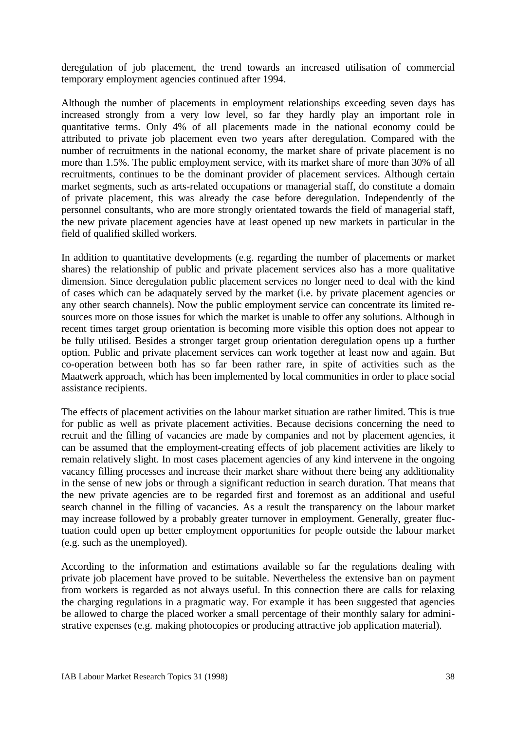deregulation of job placement, the trend towards an increased utilisation of commercial temporary employment agencies continued after 1994.

Although the number of placements in employment relationships exceeding seven days has increased strongly from a very low level, so far they hardly play an important role in quantitative terms. Only 4% of all placements made in the national economy could be attributed to private job placement even two years after deregulation. Compared with the number of recruitments in the national economy, the market share of private placement is no more than 1.5%. The public employment service, with its market share of more than 30% of all recruitments, continues to be the dominant provider of placement services. Although certain market segments, such as arts-related occupations or managerial staff, do constitute a domain of private placement, this was already the case before deregulation. Independently of the personnel consultants, who are more strongly orientated towards the field of managerial staff, the new private placement agencies have at least opened up new markets in particular in the field of qualified skilled workers.

In addition to quantitative developments (e.g. regarding the number of placements or market shares) the relationship of public and private placement services also has a more qualitative dimension. Since deregulation public placement services no longer need to deal with the kind of cases which can be adaquately served by the market (i.e. by private placement agencies or any other search channels). Now the public employment service can concentrate its limited resources more on those issues for which the market is unable to offer any solutions. Although in recent times target group orientation is becoming more visible this option does not appear to be fully utilised. Besides a stronger target group orientation deregulation opens up a further option. Public and private placement services can work together at least now and again. But co-operation between both has so far been rather rare, in spite of activities such as the Maatwerk approach, which has been implemented by local communities in order to place social assistance recipients.

The effects of placement activities on the labour market situation are rather limited. This is true for public as well as private placement activities. Because decisions concerning the need to recruit and the filling of vacancies are made by companies and not by placement agencies, it can be assumed that the employment-creating effects of job placement activities are likely to remain relatively slight. In most cases placement agencies of any kind intervene in the ongoing vacancy filling processes and increase their market share without there being any additionality in the sense of new jobs or through a significant reduction in search duration. That means that the new private agencies are to be regarded first and foremost as an additional and useful search channel in the filling of vacancies. As a result the transparency on the labour market may increase followed by a probably greater turnover in employment. Generally, greater fluctuation could open up better employment opportunities for people outside the labour market (e.g. such as the unemployed).

According to the information and estimations available so far the regulations dealing with private job placement have proved to be suitable. Nevertheless the extensive ban on payment from workers is regarded as not always useful. In this connection there are calls for relaxing the charging regulations in a pragmatic way. For example it has been suggested that agencies be allowed to charge the placed worker a small percentage of their monthly salary for administrative expenses (e.g. making photocopies or producing attractive job application material).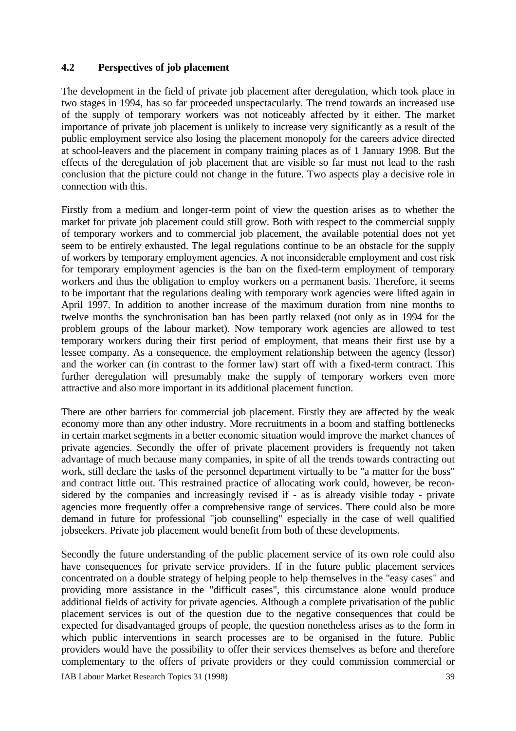### **4.2 Perspectives of job placement**

The development in the field of private job placement after deregulation, which took place in two stages in 1994, has so far proceeded unspectacularly. The trend towards an increased use of the supply of temporary workers was not noticeably affected by it either. The market importance of private job placement is unlikely to increase very significantly as a result of the public employment service also losing the placement monopoly for the careers advice directed at school-leavers and the placement in company training places as of 1 January 1998. But the effects of the deregulation of job placement that are visible so far must not lead to the rash conclusion that the picture could not change in the future. Two aspects play a decisive role in connection with this.

Firstly from a medium and longer-term point of view the question arises as to whether the market for private job placement could still grow. Both with respect to the commercial supply of temporary workers and to commercial job placement, the available potential does not yet seem to be entirely exhausted. The legal regulations continue to be an obstacle for the supply of workers by temporary employment agencies. A not inconsiderable employment and cost risk for temporary employment agencies is the ban on the fixed-term employment of temporary workers and thus the obligation to employ workers on a permanent basis. Therefore, it seems to be important that the regulations dealing with temporary work agencies were lifted again in April 1997. In addition to another increase of the maximum duration from nine months to twelve months the synchronisation ban has been partly relaxed (not only as in 1994 for the problem groups of the labour market). Now temporary work agencies are allowed to test temporary workers during their first period of employment, that means their first use by a lessee company. As a consequence, the employment relationship between the agency (lessor) and the worker can (in contrast to the former law) start off with a fixed-term contract. This further deregulation will presumably make the supply of temporary workers even more attractive and also more important in its additional placement function.

There are other barriers for commercial job placement. Firstly they are affected by the weak economy more than any other industry. More recruitments in a boom and staffing bottlenecks in certain market segments in a better economic situation would improve the market chances of private agencies. Secondly the offer of private placement providers is frequently not taken advantage of much because many companies, in spite of all the trends towards contracting out work, still declare the tasks of the personnel department virtually to be "a matter for the boss" and contract little out. This restrained practice of allocating work could, however, be reconsidered by the companies and increasingly revised if - as is already visible today - private agencies more frequently offer a comprehensive range of services. There could also be more demand in future for professional "job counselling" especially in the case of well qualified jobseekers. Private job placement would benefit from both of these developments.

Secondly the future understanding of the public placement service of its own role could also have consequences for private service providers. If in the future public placement services concentrated on a double strategy of helping people to help themselves in the "easy cases" and providing more assistance in the "difficult cases", this circumstance alone would produce additional fields of activity for private agencies. Although a complete privatisation of the public placement services is out of the question due to the negative consequences that could be expected for disadvantaged groups of people, the question nonetheless arises as to the form in which public interventions in search processes are to be organised in the future. Public providers would have the possibility to offer their services themselves as before and therefore complementary to the offers of private providers or they could commission commercial or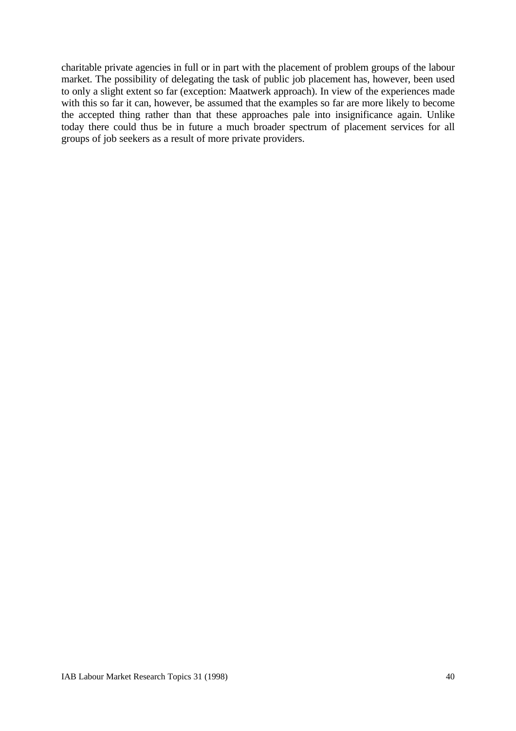charitable private agencies in full or in part with the placement of problem groups of the labour market. The possibility of delegating the task of public job placement has, however, been used to only a slight extent so far (exception: Maatwerk approach). In view of the experiences made with this so far it can, however, be assumed that the examples so far are more likely to become the accepted thing rather than that these approaches pale into insignificance again. Unlike today there could thus be in future a much broader spectrum of placement services for all groups of job seekers as a result of more private providers.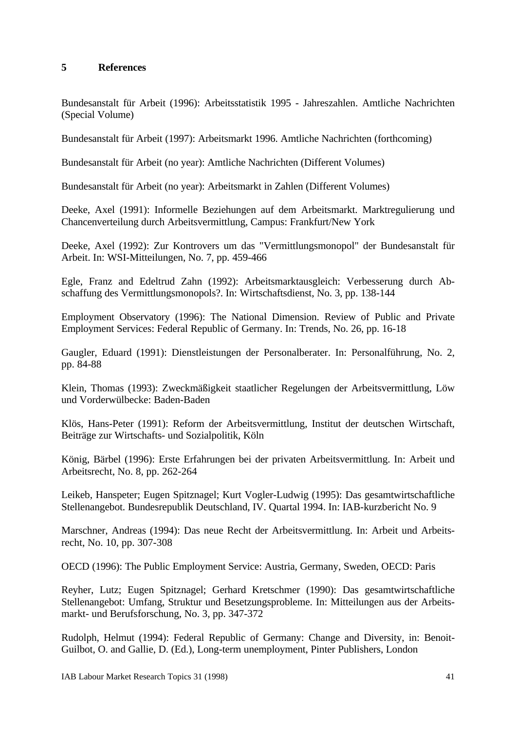### **5 References**

Bundesanstalt für Arbeit (1996): Arbeitsstatistik 1995 - Jahreszahlen. Amtliche Nachrichten (Special Volume)

Bundesanstalt für Arbeit (1997): Arbeitsmarkt 1996. Amtliche Nachrichten (forthcoming)

Bundesanstalt für Arbeit (no year): Amtliche Nachrichten (Different Volumes)

Bundesanstalt für Arbeit (no year): Arbeitsmarkt in Zahlen (Different Volumes)

Deeke, Axel (1991): Informelle Beziehungen auf dem Arbeitsmarkt. Marktregulierung und Chancenverteilung durch Arbeitsvermittlung, Campus: Frankfurt/New York

Deeke, Axel (1992): Zur Kontrovers um das "Vermittlungsmonopol" der Bundesanstalt für Arbeit. In: WSI-Mitteilungen, No. 7, pp. 459-466

Egle, Franz and Edeltrud Zahn (1992): Arbeitsmarktausgleich: Verbesserung durch Abschaffung des Vermittlungsmonopols?. In: Wirtschaftsdienst, No. 3, pp. 138-144

Employment Observatory (1996): The National Dimension. Review of Public and Private Employment Services: Federal Republic of Germany. In: Trends, No. 26, pp. 16-18

Gaugler, Eduard (1991): Dienstleistungen der Personalberater. In: Personalführung, No. 2, pp. 84-88

Klein, Thomas (1993): Zweckmäßigkeit staatlicher Regelungen der Arbeitsvermittlung, Löw und Vorderwülbecke: Baden-Baden

Klös, Hans-Peter (1991): Reform der Arbeitsvermittlung, Institut der deutschen Wirtschaft, Beiträge zur Wirtschafts- und Sozialpolitik, Köln

König, Bärbel (1996): Erste Erfahrungen bei der privaten Arbeitsvermittlung. In: Arbeit und Arbeitsrecht, No. 8, pp. 262-264

Leikeb, Hanspeter; Eugen Spitznagel; Kurt Vogler-Ludwig (1995): Das gesamtwirtschaftliche Stellenangebot. Bundesrepublik Deutschland, IV. Quartal 1994. In: IAB-kurzbericht No. 9

Marschner, Andreas (1994): Das neue Recht der Arbeitsvermittlung. In: Arbeit und Arbeitsrecht, No. 10, pp. 307-308

OECD (1996): The Public Employment Service: Austria, Germany, Sweden, OECD: Paris

Reyher, Lutz; Eugen Spitznagel; Gerhard Kretschmer (1990): Das gesamtwirtschaftliche Stellenangebot: Umfang, Struktur und Besetzungsprobleme. In: Mitteilungen aus der Arbeitsmarkt- und Berufsforschung, No. 3, pp. 347-372

Rudolph, Helmut (1994): Federal Republic of Germany: Change and Diversity, in: Benoit-Guilbot, O. and Gallie, D. (Ed.), Long-term unemployment, Pinter Publishers, London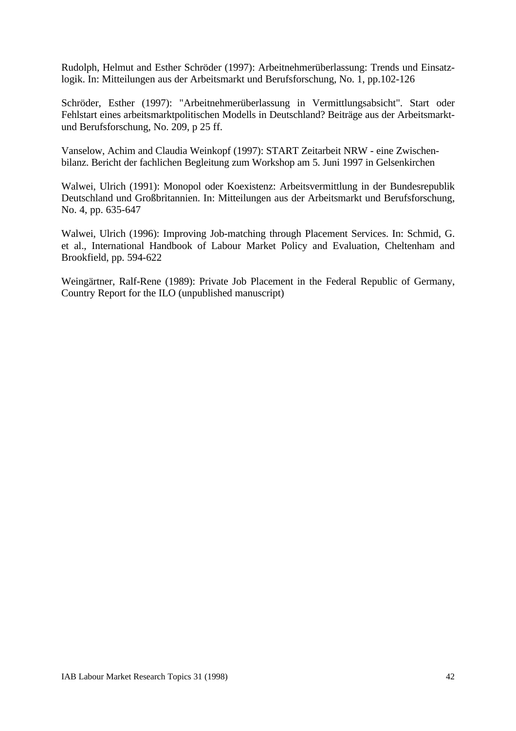Rudolph, Helmut and Esther Schröder (1997): Arbeitnehmerüberlassung: Trends und Einsatzlogik. In: Mitteilungen aus der Arbeitsmarkt und Berufsforschung, No. 1, pp.102-126

Schröder, Esther (1997): "Arbeitnehmerüberlassung in Vermittlungsabsicht". Start oder Fehlstart eines arbeitsmarktpolitischen Modells in Deutschland? Beiträge aus der Arbeitsmarktund Berufsforschung, No. 209, p 25 ff.

Vanselow, Achim and Claudia Weinkopf (1997): START Zeitarbeit NRW - eine Zwischenbilanz. Bericht der fachlichen Begleitung zum Workshop am 5. Juni 1997 in Gelsenkirchen

Walwei, Ulrich (1991): Monopol oder Koexistenz: Arbeitsvermittlung in der Bundesrepublik Deutschland und Großbritannien. In: Mitteilungen aus der Arbeitsmarkt und Berufsforschung, No. 4, pp. 635-647

Walwei, Ulrich (1996): Improving Job-matching through Placement Services. In: Schmid, G. et al., International Handbook of Labour Market Policy and Evaluation, Cheltenham and Brookfield, pp. 594-622

Weingärtner, Ralf-Rene (1989): Private Job Placement in the Federal Republic of Germany, Country Report for the ILO (unpublished manuscript)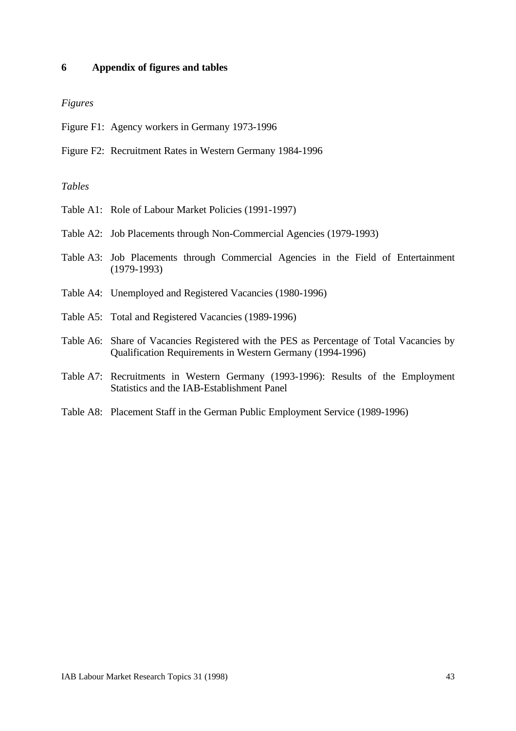#### **6 Appendix of figures and tables**

#### *Figures*

- Figure F1: Agency workers in Germany 1973-1996
- Figure F2: Recruitment Rates in Western Germany 1984-1996

### *Tables*

- Table A1: Role of Labour Market Policies (1991-1997)
- Table A2: Job Placements through Non-Commercial Agencies (1979-1993)
- Table A3: Job Placements through Commercial Agencies in the Field of Entertainment (1979-1993)
- Table A4: Unemployed and Registered Vacancies (1980-1996)
- Table A5: Total and Registered Vacancies (1989-1996)
- Table A6: Share of Vacancies Registered with the PES as Percentage of Total Vacancies by Qualification Requirements in Western Germany (1994-1996)
- Table A7: Recruitments in Western Germany (1993-1996): Results of the Employment Statistics and the IAB-Establishment Panel
- Table A8: Placement Staff in the German Public Employment Service (1989-1996)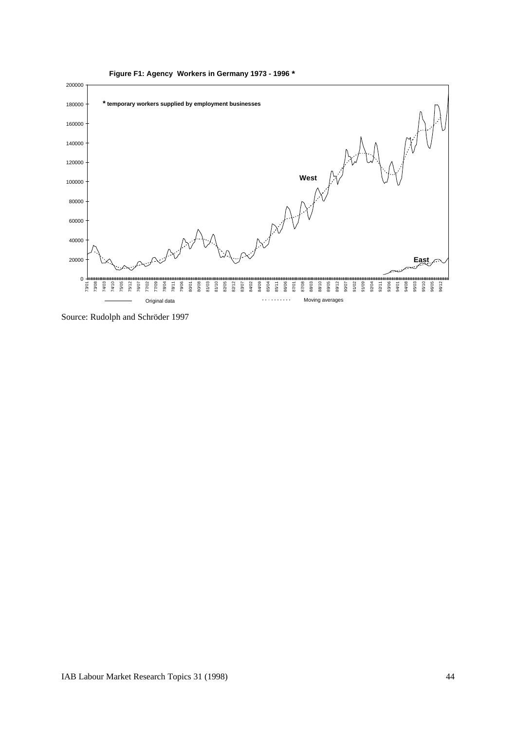

Source: Rudolph and Schröder 1997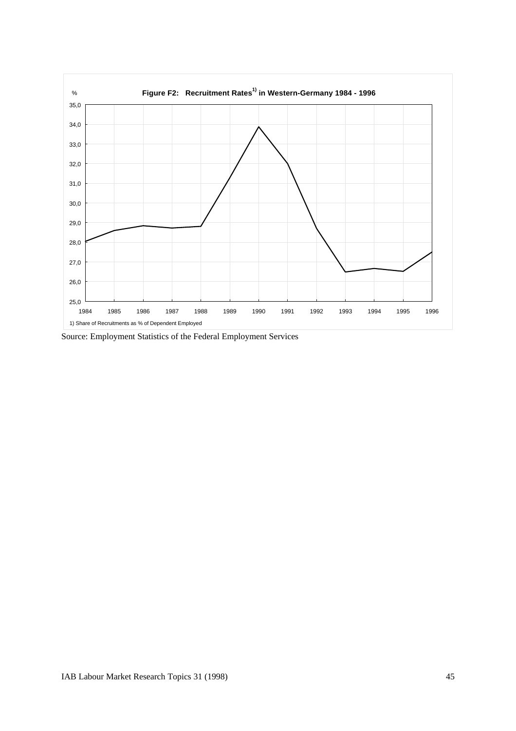

Source: Employment Statistics of the Federal Employment Services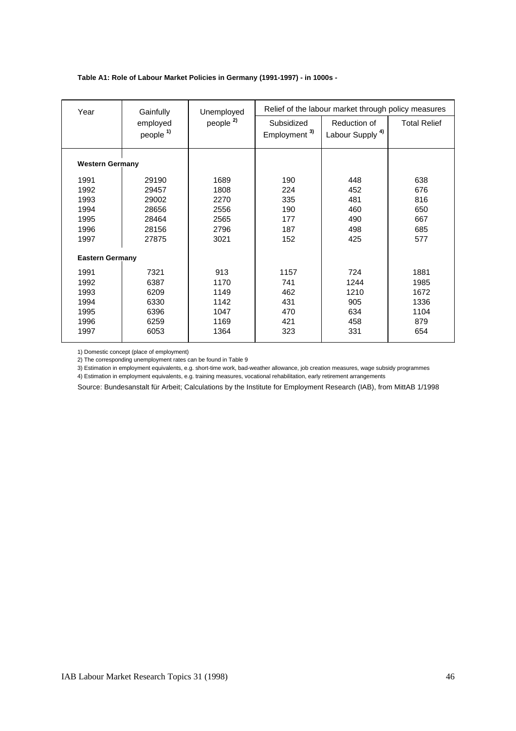#### **Table A1: Role of Labour Market Policies in Germany (1991-1997) - in 1000s -**

| Year                   | Gainfully                        | Unemployed           |                                        | Relief of the labour market through policy measures |                     |
|------------------------|----------------------------------|----------------------|----------------------------------------|-----------------------------------------------------|---------------------|
|                        | employed<br>people <sup>1)</sup> | people <sup>2)</sup> | Subsidized<br>Employment <sup>3)</sup> | Reduction of<br>Labour Supply <sup>4)</sup>         | <b>Total Relief</b> |
| <b>Western Germany</b> |                                  |                      |                                        |                                                     |                     |
| 1991                   | 29190                            | 1689                 | 190                                    | 448                                                 | 638                 |
| 1992                   | 29457                            | 1808                 | 224                                    | 452                                                 | 676                 |
| 1993                   | 29002                            | 2270                 | 335                                    | 481                                                 | 816                 |
| 1994                   | 28656                            | 2556                 | 190                                    | 460                                                 | 650                 |
| 1995                   | 28464                            | 2565                 | 177                                    | 490                                                 | 667                 |
| 1996                   | 28156                            | 2796                 | 187                                    | 498                                                 | 685                 |
| 1997                   | 27875                            | 3021                 | 152                                    | 425                                                 | 577                 |
| <b>Eastern Germany</b> |                                  |                      |                                        |                                                     |                     |
| 1991                   | 7321                             | 913                  | 1157                                   | 724                                                 | 1881                |
| 1992                   | 6387                             | 1170                 | 741                                    | 1244                                                | 1985                |
| 1993                   | 6209                             | 1149                 | 462                                    | 1210                                                | 1672                |
| 1994                   | 6330                             | 1142                 | 431                                    | 905                                                 | 1336                |
| 1995                   | 6396                             | 1047                 | 470                                    | 634                                                 | 1104                |
| 1996                   | 6259                             | 1169                 | 421                                    | 458                                                 | 879                 |
| 1997                   | 6053                             | 1364                 | 323                                    | 331                                                 | 654                 |

1) Domestic concept (place of employment)

2) The corresponding unemployment rates can be found in Table 9

3) Estimation in employment equivalents, e.g. short-time work, bad-weather allowance, job creation measures, wage subsidy programmes

4) Estimation in employment equivalents, e.g. training measures, vocational rehabilitation, early retirement arrangements

Source: Bundesanstalt für Arbeit; Calculations by the Institute for Employment Research (IAB), from MittAB 1/1998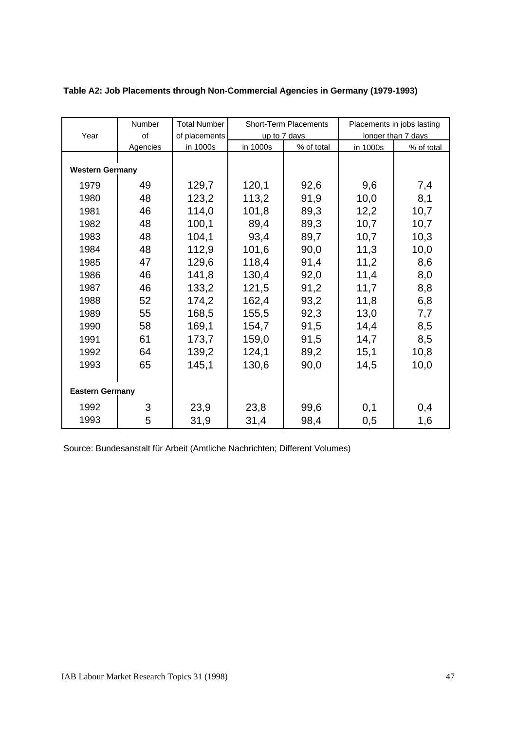|                        | Number   | <b>Total Number</b> |          | <b>Short-Term Placements</b> |          | Placements in jobs lasting |
|------------------------|----------|---------------------|----------|------------------------------|----------|----------------------------|
| Year                   | of       | of placements       |          | up to 7 days                 |          | longer than 7 days         |
|                        | Agencies | in 1000s            | in 1000s | % of total                   | in 1000s | % of total                 |
|                        |          |                     |          |                              |          |                            |
| <b>Western Germany</b> |          |                     |          |                              |          |                            |
| 1979                   | 49       | 129,7               | 120,1    | 92,6                         | 9,6      | 7,4                        |
| 1980                   | 48       | 123,2               | 113,2    | 91,9                         | 10,0     | 8,1                        |
| 1981                   | 46       | 114,0               | 101,8    | 89,3                         | 12,2     | 10,7                       |
| 1982                   | 48       | 100,1               | 89,4     | 89,3                         | 10,7     | 10,7                       |
| 1983                   | 48       | 104,1               | 93,4     | 89,7                         | 10,7     | 10,3                       |
| 1984                   | 48       | 112,9               | 101,6    | 90,0                         | 11,3     | 10,0                       |
| 1985                   | 47       | 129,6               | 118,4    | 91,4                         | 11,2     | 8,6                        |
| 1986                   | 46       | 141,8               | 130,4    | 92,0                         | 11,4     | 8,0                        |
| 1987                   | 46       | 133,2               | 121,5    | 91,2                         | 11,7     | 8,8                        |
| 1988                   | 52       | 174,2               | 162,4    | 93,2                         | 11,8     | 6,8                        |
| 1989                   | 55       | 168,5               | 155,5    | 92,3                         | 13,0     | 7,7                        |
| 1990                   | 58       | 169,1               | 154,7    | 91,5                         | 14,4     | 8,5                        |
| 1991                   | 61       | 173,7               | 159,0    | 91,5                         | 14,7     | 8,5                        |
| 1992                   | 64       | 139,2               | 124,1    | 89,2                         | 15,1     | 10,8                       |
| 1993                   | 65       | 145,1               | 130,6    | 90,0                         | 14,5     | 10,0                       |
|                        |          |                     |          |                              |          |                            |
| <b>Eastern Germany</b> |          |                     |          |                              |          |                            |
| 1992                   | 3        | 23,9                | 23,8     | 99,6                         | 0,1      | 0,4                        |
| 1993                   | 5        | 31,9                | 31,4     | 98,4                         | 0,5      | 1,6                        |

### **Table A2: Job Placements through Non-Commercial Agencies in Germany (1979-1993)**

Source: Bundesanstalt für Arbeit (Amtliche Nachrichten; Different Volumes)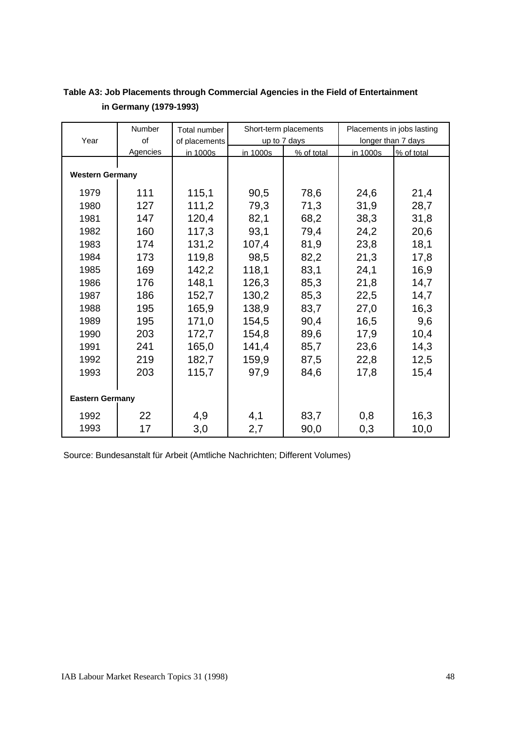|                        | Number   | Total number  |          | Short-term placements |          | Placements in jobs lasting |
|------------------------|----------|---------------|----------|-----------------------|----------|----------------------------|
| Year                   | of       | of placements |          | up to 7 days          |          | longer than 7 days         |
|                        | Agencies | in 1000s      | in 1000s | % of total            | in 1000s | % of total                 |
|                        |          |               |          |                       |          |                            |
| <b>Western Germany</b> |          |               |          |                       |          |                            |
| 1979                   | 111      | 115,1         | 90,5     | 78,6                  | 24,6     | 21,4                       |
| 1980                   | 127      | 111,2         | 79,3     | 71,3                  | 31,9     | 28,7                       |
| 1981                   | 147      | 120,4         | 82,1     | 68,2                  | 38,3     | 31,8                       |
| 1982                   | 160      | 117,3         | 93,1     | 79,4                  | 24,2     | 20,6                       |
| 1983                   | 174      | 131,2         | 107,4    | 81,9                  | 23,8     | 18,1                       |
| 1984                   | 173      | 119,8         | 98,5     | 82,2                  | 21,3     | 17,8                       |
| 1985                   | 169      | 142,2         | 118,1    | 83,1                  | 24,1     | 16,9                       |
| 1986                   | 176      | 148,1         | 126,3    | 85,3                  | 21,8     | 14,7                       |
| 1987                   | 186      | 152,7         | 130,2    | 85,3                  | 22,5     | 14,7                       |
| 1988                   | 195      | 165,9         | 138,9    | 83,7                  | 27,0     | 16,3                       |
| 1989                   | 195      | 171,0         | 154,5    | 90,4                  | 16,5     | 9,6                        |
| 1990                   | 203      | 172,7         | 154,8    | 89,6                  | 17,9     | 10,4                       |
| 1991                   | 241      | 165,0         | 141,4    | 85,7                  | 23,6     | 14,3                       |
| 1992                   | 219      | 182,7         | 159,9    | 87,5                  | 22,8     | 12,5                       |
| 1993                   | 203      | 115,7         | 97,9     | 84,6                  | 17,8     | 15,4                       |
|                        |          |               |          |                       |          |                            |
| <b>Eastern Germany</b> |          |               |          |                       |          |                            |
| 1992                   | 22       | 4,9           | 4,1      | 83,7                  | 0,8      | 16,3                       |
| 1993                   | 17       | 3,0           | 2,7      | 90,0                  | 0,3      | 10,0                       |

## **Table A3: Job Placements through Commercial Agencies in the Field of Entertainment in Germany (1979-1993)**

Source: Bundesanstalt für Arbeit (Amtliche Nachrichten; Different Volumes)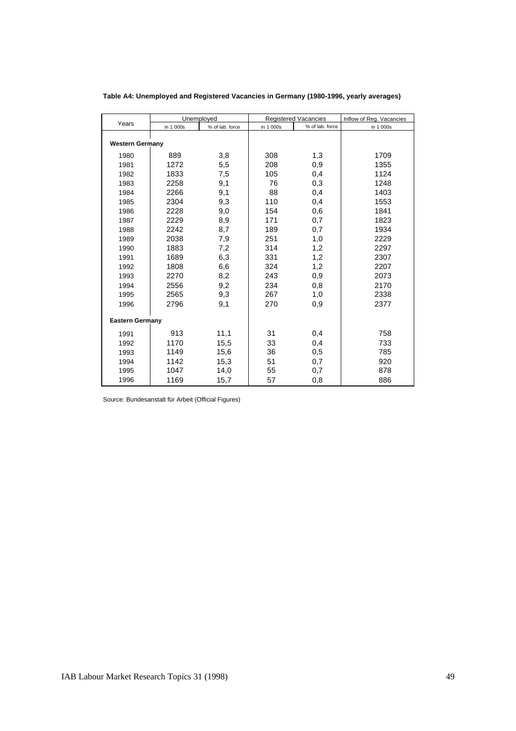|                        |           | Unemployed      |           | <b>Registered Vacancies</b> | Inflow of Reg. Vacancies |
|------------------------|-----------|-----------------|-----------|-----------------------------|--------------------------|
| Years                  | in 1 000s | % of lab. force | in 1 000s | % of lab. force             | in 1 000s                |
| <b>Western Germany</b> |           |                 |           |                             |                          |
| 1980                   | 889       | 3,8             | 308       | 1,3                         | 1709                     |
| 1981                   | 1272      | 5,5             | 208       | 0,9                         | 1355                     |
| 1982                   | 1833      | 7,5             | 105       | 0,4                         | 1124                     |
| 1983                   | 2258      | 9,1             | 76        | 0,3                         | 1248                     |
| 1984                   | 2266      | 9,1             | 88        | 0,4                         | 1403                     |
| 1985                   | 2304      | 9,3             | 110       | 0,4                         | 1553                     |
| 1986                   | 2228      | 9,0             | 154       | 0,6                         | 1841                     |
| 1987                   | 2229      | 8,9             | 171       | 0,7                         | 1823                     |
| 1988                   | 2242      | 8,7             | 189       | 0,7                         | 1934                     |
| 1989                   | 2038      | 7,9             | 251       | 1,0                         | 2229                     |
| 1990                   | 1883      | 7,2             | 314       | 1,2                         | 2297                     |
| 1991                   | 1689      | 6,3             | 331       | 1,2                         | 2307                     |
| 1992                   | 1808      | 6,6             | 324       | 1,2                         | 2207                     |
| 1993                   | 2270      | 8,2             | 243       | 0,9                         | 2073                     |
| 1994                   | 2556      | 9,2             | 234       | 0,8                         | 2170                     |
| 1995                   | 2565      | 9,3             | 267       | 1,0                         | 2338                     |
| 1996                   | 2796      | 9,1             | 270       | 0,9                         | 2377                     |
| <b>Eastern Germany</b> |           |                 |           |                             |                          |
| 1991                   | 913       | 11,1            | 31        | 0,4                         | 758                      |
| 1992                   | 1170      | 15,5            | 33        | 0,4                         | 733                      |
| 1993                   | 1149      | 15,6            | 36        | 0,5                         | 785                      |
| 1994                   | 1142      | 15,3            | 51        | 0,7                         | 920                      |
| 1995                   | 1047      | 14,0            | 55        | 0,7                         | 878                      |
| 1996                   | 1169      | 15,7            | 57        | 0,8                         | 886                      |

**Table A4: Unemployed and Registered Vacancies in Germany (1980-1996, yearly averages)**

Source: Bundesanstalt für Arbeit (Official Figures)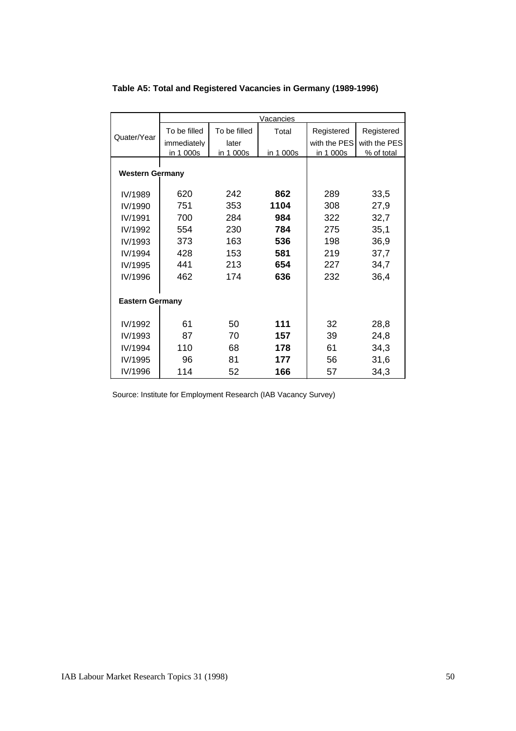|                        |              |              | Vacancies |              |              |
|------------------------|--------------|--------------|-----------|--------------|--------------|
|                        | To be filled | To be filled | Total     | Registered   | Registered   |
| Quater/Year            | immediately  | later        |           | with the PES | with the PES |
|                        | in 1 000s    | in 1 000s    | in 1 000s | in 1 000s    | % of total   |
|                        |              |              |           |              |              |
| <b>Western Germany</b> |              |              |           |              |              |
| IV/1989                | 620          | 242          | 862       | 289          | 33,5         |
| IV/1990                | 751          | 353          | 1104      | 308          | 27,9         |
| IV/1991                | 700          | 284          | 984       | 322          | 32,7         |
| IV/1992                | 554          | 230          | 784       | 275          | 35,1         |
| IV/1993                | 373          | 163          | 536       | 198          | 36,9         |
| IV/1994                | 428          | 153          | 581       | 219          | 37,7         |
| IV/1995                | 441          | 213          | 654       | 227          | 34,7         |
| IV/1996                | 462          | 174          | 636       | 232          | 36,4         |
|                        |              |              |           |              |              |
| <b>Eastern Germany</b> |              |              |           |              |              |
|                        |              |              |           |              |              |
| IV/1992                | 61           | 50           | 111       | 32           | 28,8         |
| IV/1993                | 87           | 70           | 157       | 39           | 24,8         |
| IV/1994                | 110          | 68           | 178       | 61           | 34,3         |
| IV/1995                | 96           | 81           | 177       | 56           | 31,6         |
| IV/1996                | 114          | 52           | 166       | 57           | 34,3         |

### **Table A5: Total and Registered Vacancies in Germany (1989-1996)**

Source: Institute for Employment Research (IAB Vacancy Survey)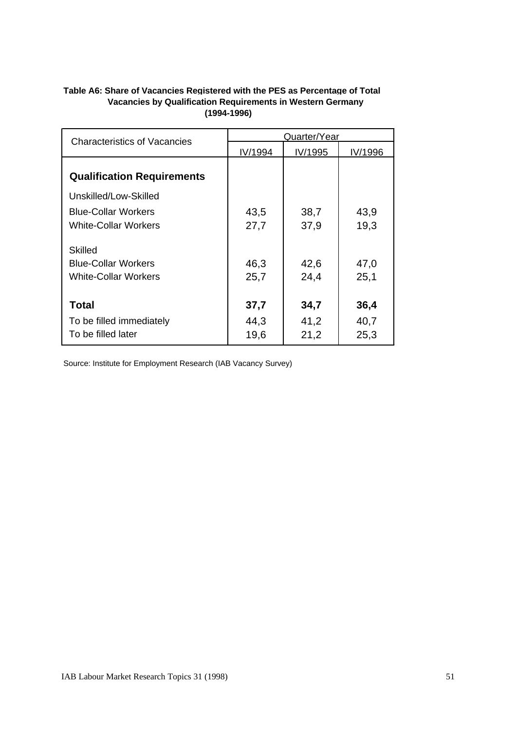#### **Table A6: Share of Vacancies Registered with the PES as Percentage of Total (1994-1996) Vacancies by Qualification Requirements in Western Germany**

| <b>Characteristics of Vacancies</b> | Quarter/Year |         |         |  |  |
|-------------------------------------|--------------|---------|---------|--|--|
|                                     | IV/1994      | IV/1995 | IV/1996 |  |  |
| <b>Qualification Requirements</b>   |              |         |         |  |  |
| Unskilled/Low-Skilled               |              |         |         |  |  |
| <b>Blue-Collar Workers</b>          | 43,5         | 38,7    | 43,9    |  |  |
| <b>White-Collar Workers</b>         | 27,7         | 37,9    | 19,3    |  |  |
| Skilled                             |              |         |         |  |  |
| <b>Blue-Collar Workers</b>          | 46,3         | 42,6    | 47,0    |  |  |
| <b>White-Collar Workers</b>         | 25,7         | 24,4    | 25,1    |  |  |
| <b>Total</b>                        | 37,7         | 34,7    | 36,4    |  |  |
| To be filled immediately            | 44,3         | 41,2    | 40,7    |  |  |
| To be filled later                  | 19,6         | 21,2    | 25,3    |  |  |

Source: Institute for Employment Research (IAB Vacancy Survey)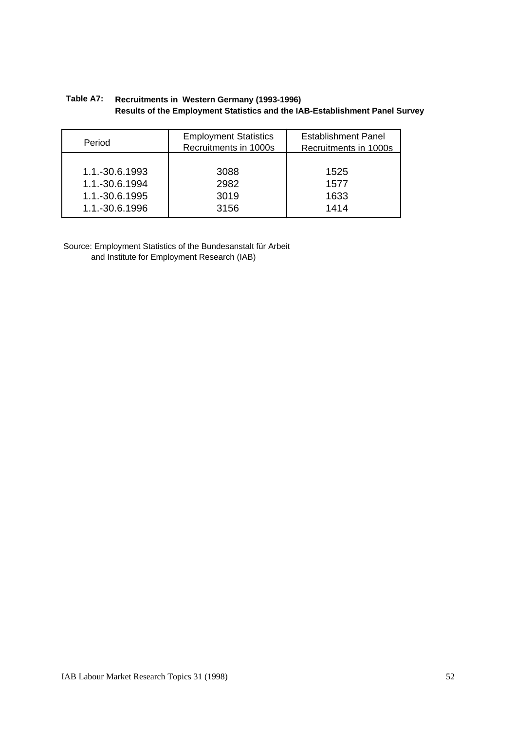#### **Recruitments in Western Germany (1993-1996) Results of the Employment Statistics and the IAB-Establishment Panel Survey Table A7:**

| Period         | <b>Employment Statistics</b><br>Recruitments in 1000s |      |
|----------------|-------------------------------------------------------|------|
| 1.1.-30.6.1993 | 3088                                                  | 1525 |
| 1.1.-30.6.1994 | 2982                                                  | 1577 |
| 1.1.-30.6.1995 | 3019                                                  | 1633 |
| 1.1.-30.6.1996 | 3156                                                  | 1414 |

Source: Employment Statistics of the Bundesanstalt für Arbeit and Institute for Employment Research (IAB)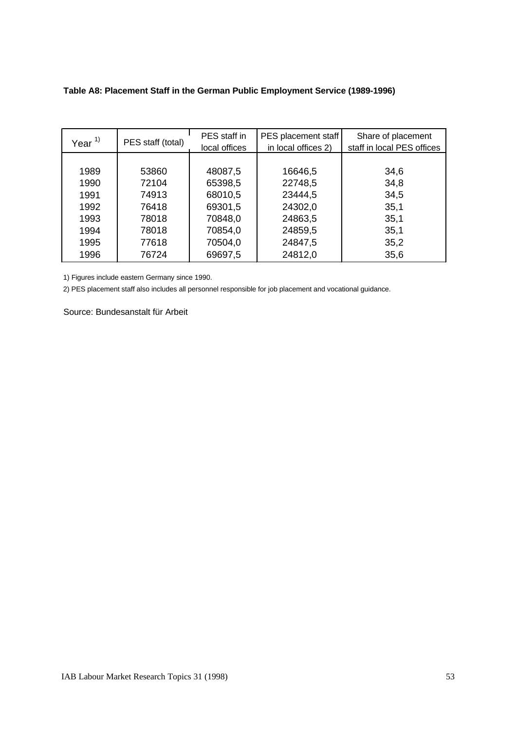| Table A8: Placement Staff in the German Public Employment Service (1989-1996) |
|-------------------------------------------------------------------------------|
|-------------------------------------------------------------------------------|

| Year $^{1)}$ | PES staff (total) | PES staff in<br>local offices | PES placement staff<br>in local offices 2) | Share of placement<br>staff in local PES offices |
|--------------|-------------------|-------------------------------|--------------------------------------------|--------------------------------------------------|
|              |                   |                               |                                            |                                                  |
| 1989         | 53860             | 48087,5                       | 16646,5                                    | 34,6                                             |
| 1990         | 72104             | 65398,5                       | 22748,5                                    | 34,8                                             |
| 1991         | 74913             | 68010,5                       | 23444,5                                    | 34,5                                             |
| 1992         | 76418             | 69301,5                       | 24302,0                                    | 35,1                                             |
| 1993         | 78018             | 70848,0                       | 24863,5                                    | 35,1                                             |
| 1994         | 78018             | 70854,0                       | 24859,5                                    | 35,1                                             |
| 1995         | 77618             | 70504,0                       | 24847,5                                    | 35,2                                             |
| 1996         | 76724             | 69697,5                       | 24812,0                                    | 35,6                                             |

1) Figures include eastern Germany since 1990.

2) PES placement staff also includes all personnel responsible for job placement and vocational guidance.

Source: Bundesanstalt für Arbeit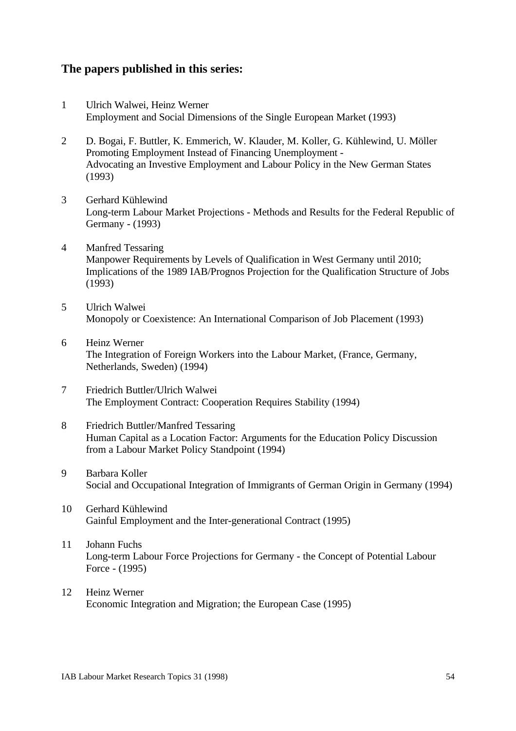### **The papers published in this series:**

- 1 Ulrich Walwei, Heinz Werner Employment and Social Dimensions of the Single European Market (1993)
- 2 D. Bogai, F. Buttler, K. Emmerich, W. Klauder, M. Koller, G. Kühlewind, U. Möller Promoting Employment Instead of Financing Unemployment - Advocating an Investive Employment and Labour Policy in the New German States (1993)
- 3 Gerhard Kühlewind Long-term Labour Market Projections - Methods and Results for the Federal Republic of Germany - (1993)
- 4 Manfred Tessaring Manpower Requirements by Levels of Qualification in West Germany until 2010; Implications of the 1989 IAB/Prognos Projection for the Qualification Structure of Jobs (1993)
- 5 Ulrich Walwei Monopoly or Coexistence: An International Comparison of Job Placement (1993)
- 6 Heinz Werner The Integration of Foreign Workers into the Labour Market, (France, Germany, Netherlands, Sweden) (1994)
- 7 Friedrich Buttler/Ulrich Walwei The Employment Contract: Cooperation Requires Stability (1994)
- 8 Friedrich Buttler/Manfred Tessaring Human Capital as a Location Factor: Arguments for the Education Policy Discussion from a Labour Market Policy Standpoint (1994)
- 9 Barbara Koller Social and Occupational Integration of Immigrants of German Origin in Germany (1994)
- 10 Gerhard Kühlewind Gainful Employment and the Inter-generational Contract (1995)
- 11 Johann Fuchs Long-term Labour Force Projections for Germany - the Concept of Potential Labour Force - (1995)
- 12 Heinz Werner Economic Integration and Migration; the European Case (1995)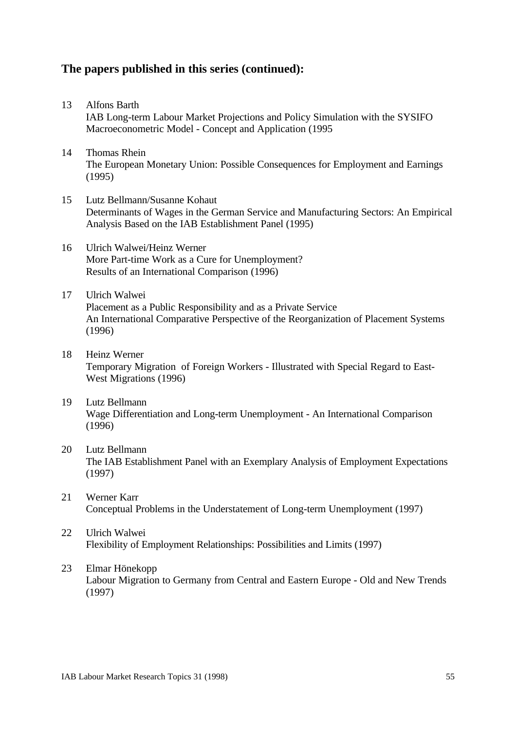## **The papers published in this series (continued):**

- 13 Alfons Barth IAB Long-term Labour Market Projections and Policy Simulation with the SYSIFO Macroeconometric Model - Concept and Application (1995
- 14 Thomas Rhein The European Monetary Union: Possible Consequences for Employment and Earnings (1995)
- 15 Lutz Bellmann/Susanne Kohaut Determinants of Wages in the German Service and Manufacturing Sectors: An Empirical Analysis Based on the IAB Establishment Panel (1995)
- 16 Ulrich Walwei/Heinz Werner More Part-time Work as a Cure for Unemployment? Results of an International Comparison (1996)
- 17 Ulrich Walwei Placement as a Public Responsibility and as a Private Service An International Comparative Perspective of the Reorganization of Placement Systems (1996)
- 18 Heinz Werner Temporary Migration of Foreign Workers - Illustrated with Special Regard to East-West Migrations (1996)
- 19 Lutz Bellmann Wage Differentiation and Long-term Unemployment - An International Comparison (1996)
- 20 Lutz Bellmann The IAB Establishment Panel with an Exemplary Analysis of Employment Expectations (1997)
- 21 Werner Karr Conceptual Problems in the Understatement of Long-term Unemployment (1997)
- 22 Ulrich Walwei Flexibility of Employment Relationships: Possibilities and Limits (1997)
- 23 Elmar Hönekopp Labour Migration to Germany from Central and Eastern Europe - Old and New Trends (1997)